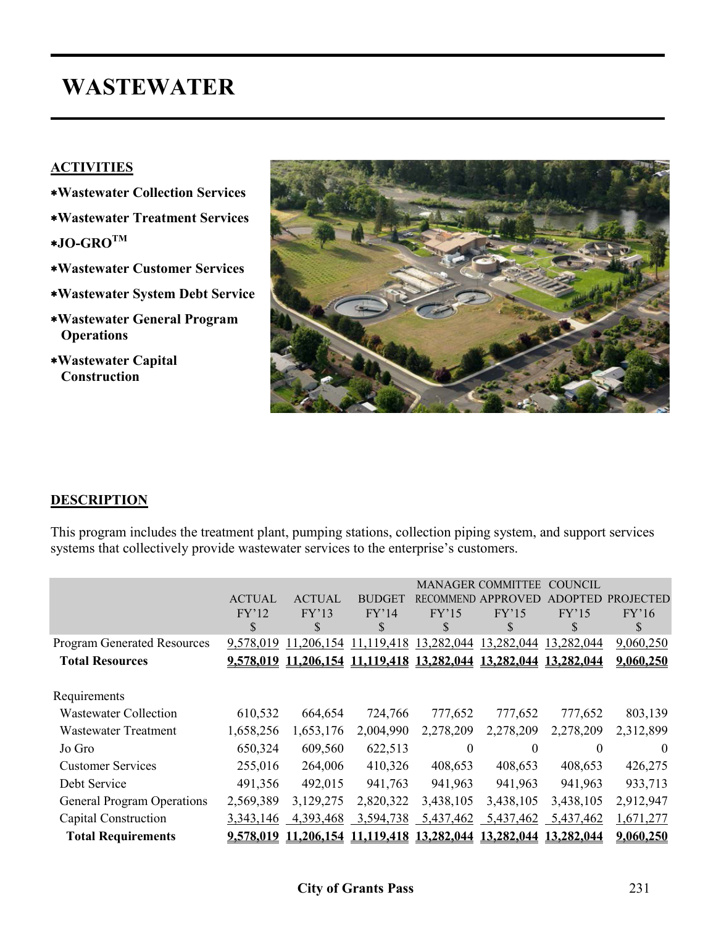# **WASTEWATER**

#### **ACTIVITIES**

- ∗**Wastewater Collection Services**
- ∗**Wastewater Treatment Services**
- ∗**JO-GROTM**
- ∗**Wastewater Customer Services**
- ∗**Wastewater System Debt Service**
- ∗**Wastewater General Program Operations**
- ∗**Wastewater Capital Construction**



#### **DESCRIPTION**

This program includes the treatment plant, pumping stations, collection piping system, and support services systems that collectively provide wastewater services to the enterprise's customers.

|                                    |               |                      |               |                  | <b>MANAGER COMMITTEE</b> | COUNCIL    |                  |
|------------------------------------|---------------|----------------------|---------------|------------------|--------------------------|------------|------------------|
|                                    | <b>ACTUAL</b> | <b>ACTUAL</b>        | <b>BUDGET</b> | <b>RECOMMEND</b> | <b>APPROVED</b>          |            | <b>PROJECTED</b> |
|                                    | FY'12         | FY'13                | FY'14         | FY'15            | FY'15                    | FY'15      | FY'16            |
|                                    | \$            | \$                   | \$            | \$               | \$                       | \$         | \$               |
| <b>Program Generated Resources</b> | 9,578,019     | 11,206,154           | 11,119,418    | 13,282,044       | 13,282,044               | 13,282,044 | 9,060,250        |
| <b>Total Resources</b>             |               | 9,578,019 11,206,154 | 11,119,418    | 13,282,044       | 13,282,044               | 13,282,044 | 9,060,250        |
| Requirements                       |               |                      |               |                  |                          |            |                  |
| <b>Wastewater Collection</b>       | 610,532       | 664,654              | 724,766       | 777,652          | 777,652                  | 777,652    | 803,139          |
| <b>Wastewater Treatment</b>        | 1,658,256     | 1,653,176            | 2,004,990     | 2,278,209        | 2,278,209                | 2,278,209  | 2,312,899        |
| Jo Gro                             | 650,324       | 609,560              | 622,513       | $\theta$         | $\theta$                 | $\theta$   | $\Omega$         |
| <b>Customer Services</b>           | 255,016       | 264,006              | 410,326       | 408,653          | 408,653                  | 408,653    | 426,275          |
| Debt Service                       | 491,356       | 492,015              | 941,763       | 941,963          | 941,963                  | 941,963    | 933,713          |
| <b>General Program Operations</b>  | 2,569,389     | 3,129,275            | 2,820,322     | 3,438,105        | 3,438,105                | 3,438,105  | 2,912,947        |
| Capital Construction               | 3, 343, 146   | 4,393,468            | 3,594,738     | 5,437,462        | 5,437,462                | 5,437,462  | 1,671,277        |
| <b>Total Requirements</b>          | 9,578,019     | 11,206,154           | 11,119,418    | 13,282,044       | 13,282,044               | 13,282,044 | 9,060,250        |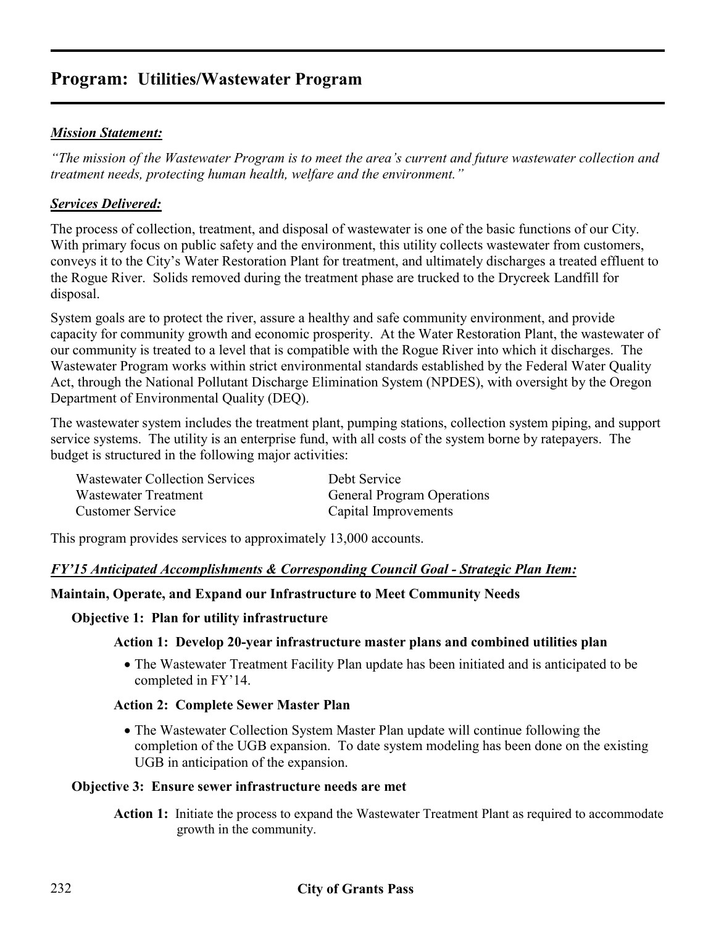## **Program: Utilities/Wastewater Program**

#### *Mission Statement:*

*"The mission of the Wastewater Program is to meet the area's current and future wastewater collection and treatment needs, protecting human health, welfare and the environment."* 

#### *Services Delivered:*

The process of collection, treatment, and disposal of wastewater is one of the basic functions of our City. With primary focus on public safety and the environment, this utility collects wastewater from customers, conveys it to the City's Water Restoration Plant for treatment, and ultimately discharges a treated effluent to the Rogue River. Solids removed during the treatment phase are trucked to the Drycreek Landfill for disposal.

System goals are to protect the river, assure a healthy and safe community environment, and provide capacity for community growth and economic prosperity. At the Water Restoration Plant, the wastewater of our community is treated to a level that is compatible with the Rogue River into which it discharges. The Wastewater Program works within strict environmental standards established by the Federal Water Quality Act, through the National Pollutant Discharge Elimination System (NPDES), with oversight by the Oregon Department of Environmental Quality (DEQ).

The wastewater system includes the treatment plant, pumping stations, collection system piping, and support service systems. The utility is an enterprise fund, with all costs of the system borne by ratepayers. The budget is structured in the following major activities:

| <b>Wastewater Collection Services</b> | Debt Service                      |
|---------------------------------------|-----------------------------------|
| Wastewater Treatment                  | <b>General Program Operations</b> |
| <b>Customer Service</b>               | Capital Improvements              |

This program provides services to approximately 13,000 accounts.

#### *FY'15 Anticipated Accomplishments & Corresponding Council Goal - Strategic Plan Item:*

#### **Maintain, Operate, and Expand our Infrastructure to Meet Community Needs**

#### **Objective 1: Plan for utility infrastructure**

#### **Action 1: Develop 20-year infrastructure master plans and combined utilities plan**

• The Wastewater Treatment Facility Plan update has been initiated and is anticipated to be completed in FY'14.

#### **Action 2: Complete Sewer Master Plan**

• The Wastewater Collection System Master Plan update will continue following the completion of the UGB expansion. To date system modeling has been done on the existing UGB in anticipation of the expansion.

#### **Objective 3: Ensure sewer infrastructure needs are met**

Action 1: Initiate the process to expand the Wastewater Treatment Plant as required to accommodate growth in the community.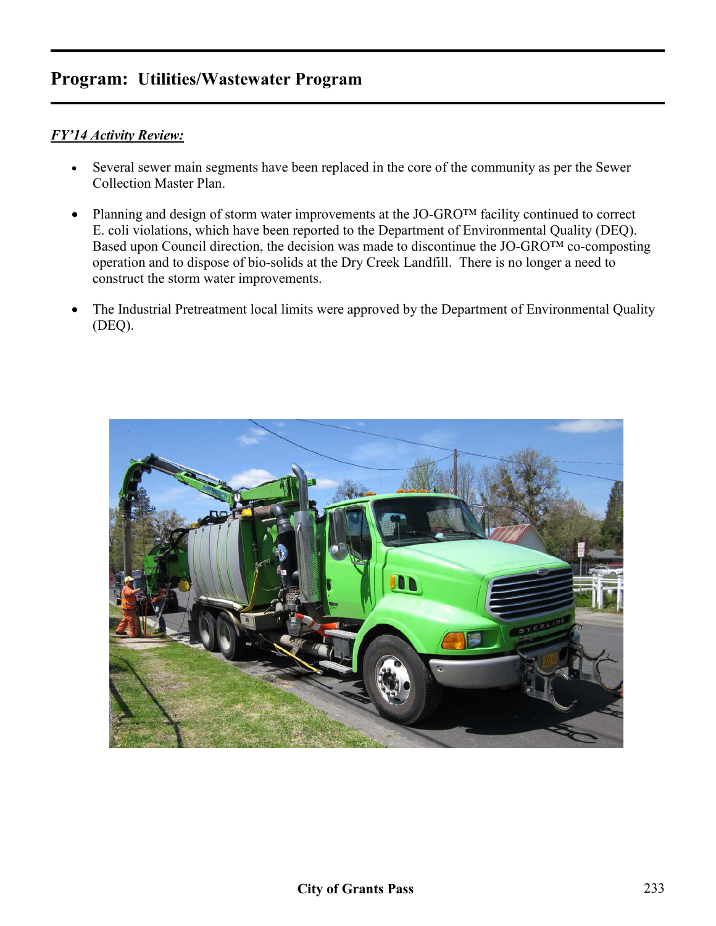## **Program: Utilities/Wastewater Program**

#### *FY'14 Activity Review:*

- Several sewer main segments have been replaced in the core of the community as per the Sewer Collection Master Plan.
- Planning and design of storm water improvements at the JO-GRO<sup>TM</sup> facility continued to correct E. coli violations, which have been reported to the Department of Environmental Quality (DEQ). Based upon Council direction, the decision was made to discontinue the JO-GRO<sup>TM</sup> co-composting operation and to dispose of bio-solids at the Dry Creek Landfill. There is no longer a need to construct the storm water improvements.
- The Industrial Pretreatment local limits were approved by the Department of Environmental Quality (DEQ).

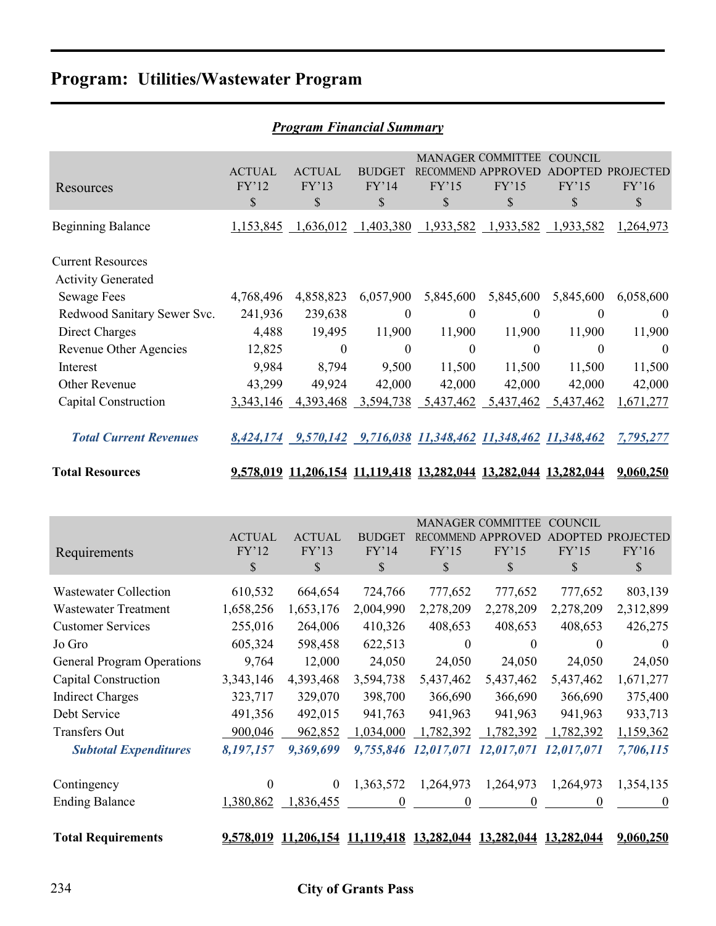# **Program: Utilities/Wastewater Program**

|                                                       | 1 годнат 1 таанста маттан ү  |                              |                                        |                                 |                                                                  |                                                 |                                            |  |  |  |  |
|-------------------------------------------------------|------------------------------|------------------------------|----------------------------------------|---------------------------------|------------------------------------------------------------------|-------------------------------------------------|--------------------------------------------|--|--|--|--|
| Resources                                             | <b>ACTUAL</b><br>FY'12<br>\$ | <b>ACTUAL</b><br>FY'13<br>\$ | <b>BUDGET</b><br>FY'14<br>$\mathbb{S}$ | <b>RECOMMEND</b><br>FY'15<br>\$ | <b>MANAGER COMMITTEE</b><br><b>APPROVED</b><br>FY'15<br>\$       | <b>COUNCIL</b><br><b>ADOPTED</b><br>FY'15<br>\$ | <b>PROJECTED</b><br>FY'16<br>$\mathcal{S}$ |  |  |  |  |
| <b>Beginning Balance</b>                              |                              |                              |                                        |                                 | 1,153,845 1,636,012 1,403,380 1,933,582 1,933,582 1,933,582      |                                                 | 1,264,973                                  |  |  |  |  |
| <b>Current Resources</b><br><b>Activity Generated</b> |                              |                              |                                        |                                 |                                                                  |                                                 |                                            |  |  |  |  |
| <b>Sewage Fees</b>                                    | 4,768,496                    | 4,858,823                    | 6,057,900                              | 5,845,600                       | 5,845,600                                                        | 5,845,600                                       | 6,058,600                                  |  |  |  |  |
| Redwood Sanitary Sewer Svc.                           | 241,936                      | 239,638                      | $\theta$                               | $\theta$                        | $\overline{0}$                                                   | $\Omega$                                        | $\theta$                                   |  |  |  |  |
| Direct Charges                                        | 4,488                        | 19,495                       | 11,900                                 | 11,900                          | 11,900                                                           | 11,900                                          | 11,900                                     |  |  |  |  |
| Revenue Other Agencies                                | 12,825                       | $\theta$                     | $\mathbf{0}$                           | $\Omega$                        | $\theta$                                                         | $\mathbf{0}$                                    | $\Omega$                                   |  |  |  |  |
| Interest                                              | 9,984                        | 8,794                        | 9,500                                  | 11,500                          | 11,500                                                           | 11,500                                          | 11,500                                     |  |  |  |  |
| Other Revenue                                         | 43,299                       | 49,924                       | 42,000                                 | 42,000                          | 42,000                                                           | 42,000                                          | 42,000                                     |  |  |  |  |
| Capital Construction                                  | 3, 343, 146                  | 4,393,468                    | 3,594,738                              | 5,437,462                       | 5,437,462                                                        | 5,437,462                                       | 1,671,277                                  |  |  |  |  |
| <b>Total Current Revenues</b>                         |                              |                              |                                        |                                 | 8,424,174 9,570,142 9,716,038 11,348,462 11,348,462 11,348,462   |                                                 | 7,795,277                                  |  |  |  |  |
| <b>Total Resources</b>                                |                              |                              |                                        |                                 | 9,578,019 11,206,154 11,119,418 13,282,044 13,282,044 13,282,044 |                                                 | 9,060,250                                  |  |  |  |  |
|                                                       |                              |                              |                                        |                                 |                                                                  |                                                 |                                            |  |  |  |  |

|                                   |                  |                                  |               |                                 | <b>MANAGER COMMITTEE</b>  | <b>COUNCIL</b> |                  |
|-----------------------------------|------------------|----------------------------------|---------------|---------------------------------|---------------------------|----------------|------------------|
|                                   | <b>ACTUAL</b>    | <b>ACTUAL</b>                    | <b>BUDGET</b> |                                 | <b>RECOMMEND APPROVED</b> | <b>ADOPTED</b> | <b>PROJECTED</b> |
| Requirements                      | FY'12            | FY'13                            | FY'14         | FY'15                           | FY'15                     | FY'15          | FY'16            |
|                                   | \$               | \$                               | \$            | \$                              | \$                        | \$             | $\mathbb{S}$     |
| <b>Wastewater Collection</b>      | 610,532          | 664,654                          | 724,766       | 777,652                         | 777,652                   | 777,652        | 803,139          |
| <b>Wastewater Treatment</b>       | 1,658,256        | 1,653,176                        | 2,004,990     | 2,278,209                       | 2,278,209                 | 2,278,209      | 2,312,899        |
| <b>Customer Services</b>          | 255,016          | 264,006                          | 410,326       | 408,653                         | 408,653                   | 408,653        | 426,275          |
| Jo Gro                            | 605,324          | 598,458                          | 622,513       | $\theta$                        | $\theta$                  | $\theta$       | $\Omega$         |
| <b>General Program Operations</b> | 9,764            | 12,000                           | 24,050        | 24,050                          | 24,050                    | 24,050         | 24,050           |
| Capital Construction              | 3, 343, 146      | 4,393,468                        | 3,594,738     | 5,437,462                       | 5,437,462                 | 5,437,462      | 1,671,277        |
| <b>Indirect Charges</b>           | 323,717          | 329,070                          | 398,700       | 366,690                         | 366,690                   | 366,690        | 375,400          |
| Debt Service                      | 491,356          | 492,015                          | 941,763       | 941,963                         | 941,963                   | 941,963        | 933,713          |
| <b>Transfers Out</b>              | 900,046          | 962,852                          | 1,034,000     | 1,782,392                       | 1,782,392                 | 1,782,392      | 1,159,362        |
| <b>Subtotal Expenditures</b>      | 8,197,157        | 9,369,699                        |               | 9,755,846 12,017,071 12,017,071 |                           | 12,017,071     | 7,706,115        |
| Contingency                       | $\theta$         | $\mathbf{0}$                     | 1,363,572     | 1,264,973                       | 1,264,973                 | 1,264,973      | 1,354,135        |
| <b>Ending Balance</b>             | 1,380,862        | 1,836,455                        | $\theta$      | $\theta$                        | 0                         | 0              | $\theta$         |
| <b>Total Requirements</b>         | <u>9,578,019</u> | 11,206,154 11,119,418 13,282,044 |               |                                 | 13,282,044                | 13,282,044     | 9,060,250        |

#### *Program Financial Summary*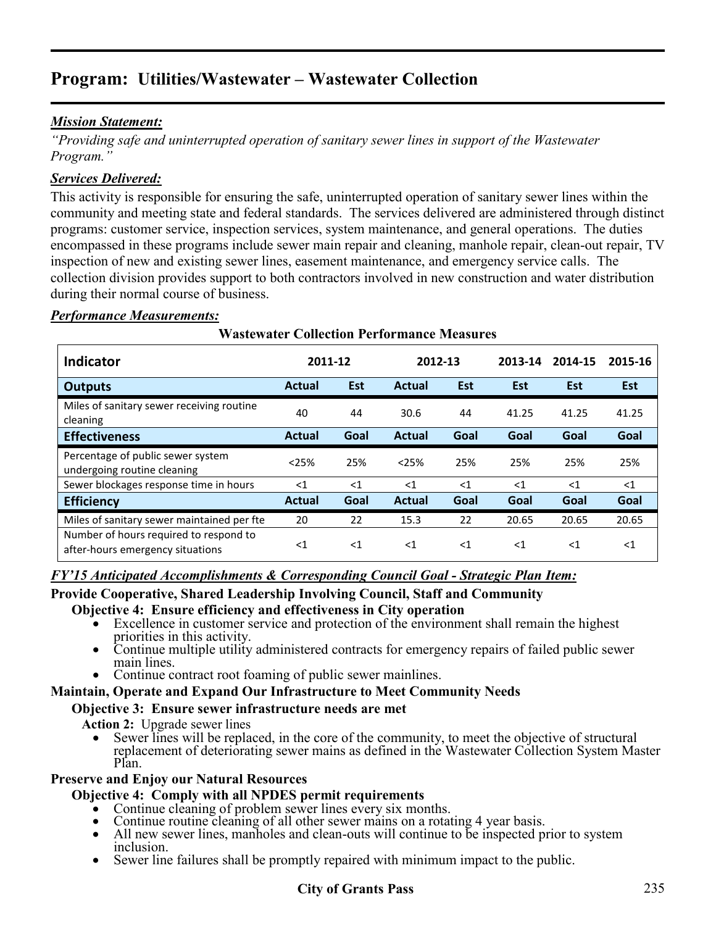# **Program: Utilities/Wastewater – Wastewater Collection**

#### *Mission Statement:*

*"Providing safe and uninterrupted operation of sanitary sewer lines in support of the Wastewater Program."* 

#### *Services Delivered:*

This activity is responsible for ensuring the safe, uninterrupted operation of sanitary sewer lines within the community and meeting state and federal standards. The services delivered are administered through distinct programs: customer service, inspection services, system maintenance, and general operations. The duties encompassed in these programs include sewer main repair and cleaning, manhole repair, clean-out repair, TV inspection of new and existing sewer lines, easement maintenance, and emergency service calls. The collection division provides support to both contractors involved in new construction and water distribution during their normal course of business.

#### *Performance Measurements:*

|                                                                            | <b>Wastewater Collection Performance Measures</b> |            |               |       |            |            |            |  |  |  |  |  |
|----------------------------------------------------------------------------|---------------------------------------------------|------------|---------------|-------|------------|------------|------------|--|--|--|--|--|
| <b>Indicator</b>                                                           | 2011-12                                           |            | 2012-13       |       | 2013-14    | 2014-15    | 2015-16    |  |  |  |  |  |
| <b>Outputs</b>                                                             | Actual                                            | <b>Est</b> | <b>Actual</b> | Est   | <b>Est</b> | <b>Est</b> | <b>Est</b> |  |  |  |  |  |
| Miles of sanitary sewer receiving routine<br>cleaning                      | 40                                                | 44         | 30.6          | 44    | 41.25      | 41.25      | 41.25      |  |  |  |  |  |
| <b>Effectiveness</b>                                                       | <b>Actual</b>                                     | Goal       | Actual        | Goal  | Goal       | Goal       | Goal       |  |  |  |  |  |
| Percentage of public sewer system<br>undergoing routine cleaning           | < 25%                                             | 25%        | < 25%         | 25%   | 25%        | 25%        | 25%        |  |  |  |  |  |
| Sewer blockages response time in hours                                     | $<$ 1                                             | $<$ 1      | $<$ 1         | $<$ 1 | $<$ 1      | $\leq 1$   | $\leq 1$   |  |  |  |  |  |
| <b>Efficiency</b>                                                          | Actual                                            | Goal       | Actual        | Goal  | Goal       | Goal       | Goal       |  |  |  |  |  |
| Miles of sanitary sewer maintained per fte                                 | 20                                                | 22         | 15.3          | 22    | 20.65      | 20.65      | 20.65      |  |  |  |  |  |
| Number of hours required to respond to<br>after-hours emergency situations | $<$ 1                                             | $<$ 1      | $<$ 1         | $<$ 1 | $<$ 1      | $<$ 1      | $<$ 1      |  |  |  |  |  |

#### *FY'15 Anticipated Accomplishments & Corresponding Council Goal - Strategic Plan Item:*

#### **Provide Cooperative, Shared Leadership Involving Council, Staff and Community**

- **Objective 4: Ensure efficiency and effectiveness in City operation**<br>● Excellence in customer service and protection of the environment shall remain the highest priorities in this activity.
	- Continue multiple utility administered contracts for emergency repairs of failed public sewer main lines.<br>• Continue contract root foaming of public sewer mainlines.
	-

#### **Maintain, Operate and Expand Our Infrastructure to Meet Community Needs**

#### **Objective 3: Ensure sewer infrastructure needs are met**

- **Action 2:** Upgrade sewer lines
	- Sewer lines will be replaced, in the core of the community, to meet the objective of structural replacement of deteriorating sewer mains as defined in the Wastewater Collection System Master Plan.

#### **Preserve and Enjoy our Natural Resources**

- 
- 
- Objective 4: Comply with all NPDES permit requirements<br>
Continue cleaning of problem sewer lines every six months.<br>
Continue routine cleaning of all other sewer mains on a rotating 4 year basis.<br>
All new sewer lines
	- Sewer line failures shall be promptly repaired with minimum impact to the public.

#### **City of Grants Pass** 235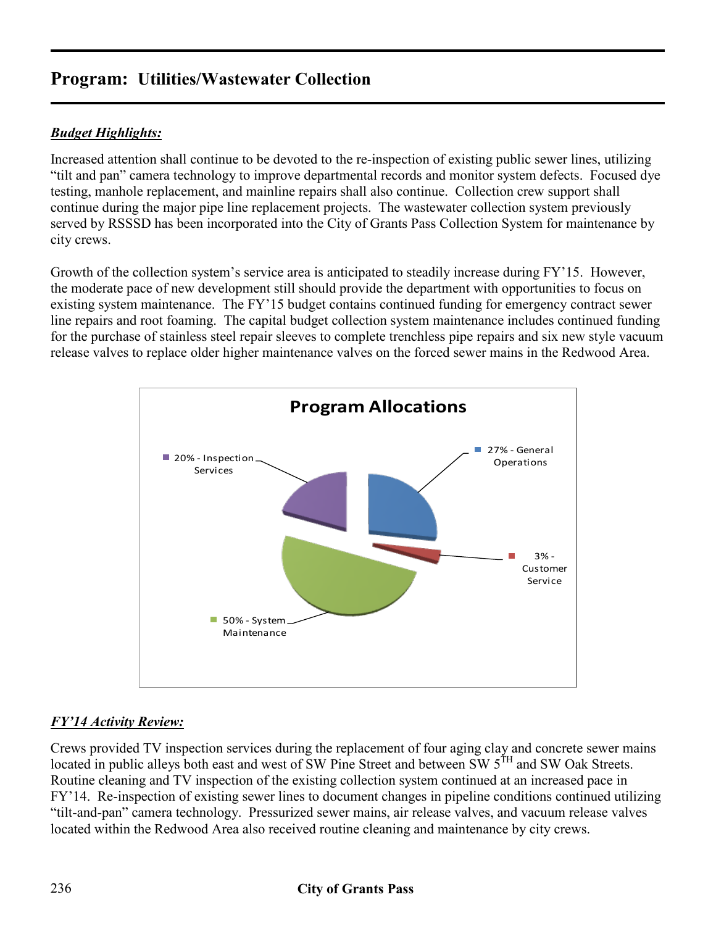# **Program: Utilities/Wastewater Collection**

### *Budget Highlights:*

Increased attention shall continue to be devoted to the re-inspection of existing public sewer lines, utilizing "tilt and pan" camera technology to improve departmental records and monitor system defects. Focused dye testing, manhole replacement, and mainline repairs shall also continue. Collection crew support shall continue during the major pipe line replacement projects. The wastewater collection system previously served by RSSSD has been incorporated into the City of Grants Pass Collection System for maintenance by city crews.

Growth of the collection system's service area is anticipated to steadily increase during FY'15. However, the moderate pace of new development still should provide the department with opportunities to focus on existing system maintenance. The FY'15 budget contains continued funding for emergency contract sewer line repairs and root foaming. The capital budget collection system maintenance includes continued funding for the purchase of stainless steel repair sleeves to complete trenchless pipe repairs and six new style vacuum release valves to replace older higher maintenance valves on the forced sewer mains in the Redwood Area.



#### *FY'14 Activity Review:*

Crews provided TV inspection services during the replacement of four aging clay and concrete sewer mains located in public alleys both east and west of SW Pine Street and between SW 5<sup>TH</sup> and SW Oak Streets. Routine cleaning and TV inspection of the existing collection system continued at an increased pace in FY'14. Re-inspection of existing sewer lines to document changes in pipeline conditions continued utilizing "tilt-and-pan" camera technology. Pressurized sewer mains, air release valves, and vacuum release valves located within the Redwood Area also received routine cleaning and maintenance by city crews.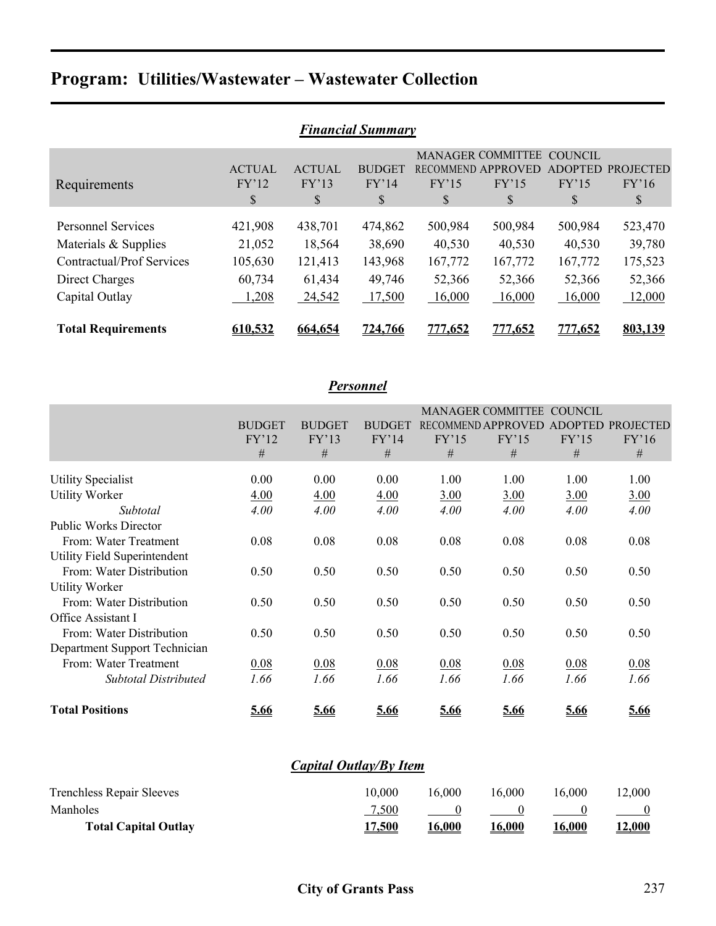# **Program: Utilities/Wastewater – Wastewater Collection**

| <b>Financial Summary</b>         |               |               |               |                |                          |                |                  |  |  |  |
|----------------------------------|---------------|---------------|---------------|----------------|--------------------------|----------------|------------------|--|--|--|
|                                  |               |               |               |                | <b>MANAGER COMMITTEE</b> | <b>COUNCIL</b> |                  |  |  |  |
|                                  | <b>ACTUAL</b> | <b>ACTUAL</b> | <b>BUDGET</b> |                | RECOMMEND APPROVED       | <b>ADOPTED</b> | <b>PROJECTED</b> |  |  |  |
| Requirements                     | FY'12         | FY'13         | FY'14         | FY'15          | FY'15                    | FY'15          | FY'16            |  |  |  |
|                                  | \$            | \$            | \$            | \$             | \$                       | \$             | \$               |  |  |  |
|                                  |               |               |               |                |                          |                |                  |  |  |  |
| <b>Personnel Services</b>        | 421,908       | 438,701       | 474,862       | 500,984        | 500,984                  | 500,984        | 523,470          |  |  |  |
| Materials & Supplies             | 21,052        | 18,564        | 38,690        | 40,530         | 40,530                   | 40,530         | 39,780           |  |  |  |
| <b>Contractual/Prof Services</b> | 105,630       | 121,413       | 143,968       | 167,772        | 167,772                  | 167,772        | 175,523          |  |  |  |
| Direct Charges                   | 60,734        | 61,434        | 49,746        | 52,366         | 52,366                   | 52,366         | 52,366           |  |  |  |
| Capital Outlay                   | 1,208         | 24,542        | 17,500        | 16,000         | 16,000                   | 16,000         | 12,000           |  |  |  |
| <b>Total Requirements</b>        | 610.532       | 664.654       | 724,766       | <u>777.652</u> | 777.652                  | <u>777.652</u> | 803,139          |  |  |  |

| <b>Personnel</b>              |               |               |               |       |                           |                |                  |  |  |
|-------------------------------|---------------|---------------|---------------|-------|---------------------------|----------------|------------------|--|--|
|                               |               |               |               |       | <b>MANAGER COMMITTEE</b>  | COUNCIL        |                  |  |  |
|                               | <b>BUDGET</b> | <b>BUDGET</b> | <b>BUDGET</b> |       | <b>RECOMMEND APPROVED</b> | <b>ADOPTED</b> | <b>PROJECTED</b> |  |  |
|                               | FY'12         | FY'13         | FY'14         | FY'15 | FY'15                     | FY'15          | FY'16            |  |  |
|                               | #             | #             | #             | $\#$  | #                         | #              | #                |  |  |
| <b>Utility Specialist</b>     | 0.00          | 0.00          | 0.00          | 1.00  | 1.00                      | 1.00           | 1.00             |  |  |
| <b>Utility Worker</b>         | 4.00          | 4.00          | 4.00          | 3.00  | 3.00                      | 3.00           | 3.00             |  |  |
| Subtotal                      | 4.00          | 4.00          | 4.00          | 4.00  | 4.00                      | 4.00           | 4.00             |  |  |
| <b>Public Works Director</b>  |               |               |               |       |                           |                |                  |  |  |
| From: Water Treatment         | 0.08          | 0.08          | 0.08          | 0.08  | 0.08                      | 0.08           | 0.08             |  |  |
| Utility Field Superintendent  |               |               |               |       |                           |                |                  |  |  |
| From: Water Distribution      | 0.50          | 0.50          | 0.50          | 0.50  | 0.50                      | 0.50           | 0.50             |  |  |
| <b>Utility Worker</b>         |               |               |               |       |                           |                |                  |  |  |
| From: Water Distribution      | 0.50          | 0.50          | 0.50          | 0.50  | 0.50                      | 0.50           | 0.50             |  |  |
| Office Assistant I            |               |               |               |       |                           |                |                  |  |  |
| From: Water Distribution      | 0.50          | 0.50          | 0.50          | 0.50  | 0.50                      | 0.50           | 0.50             |  |  |
| Department Support Technician |               |               |               |       |                           |                |                  |  |  |
| From: Water Treatment         | 0.08          | 0.08          | 0.08          | 0.08  | 0.08                      | 0.08           | 0.08             |  |  |
| <b>Subtotal Distributed</b>   | 1.66          | 1.66          | 1.66          | 1.66  | 1.66                      | 1.66           | 1.66             |  |  |
| <b>Total Positions</b>        | 5.66          | 5.66          | 5.66          | 5.66  | 5.66                      | 5.66           | 5.66             |  |  |

| Capital Outlay/By Item           |               |               |               |               |               |  |  |  |
|----------------------------------|---------------|---------------|---------------|---------------|---------------|--|--|--|
| <b>Trenchless Repair Sleeves</b> | 10.000        | 16.000        | 16.000        | 16.000        | 12.000        |  |  |  |
| Manholes                         | 7,500         |               |               |               |               |  |  |  |
| <b>Total Capital Outlay</b>      | <u>17,500</u> | <u>16,000</u> | <u>16,000</u> | <u>16,000</u> | <u>12,000</u> |  |  |  |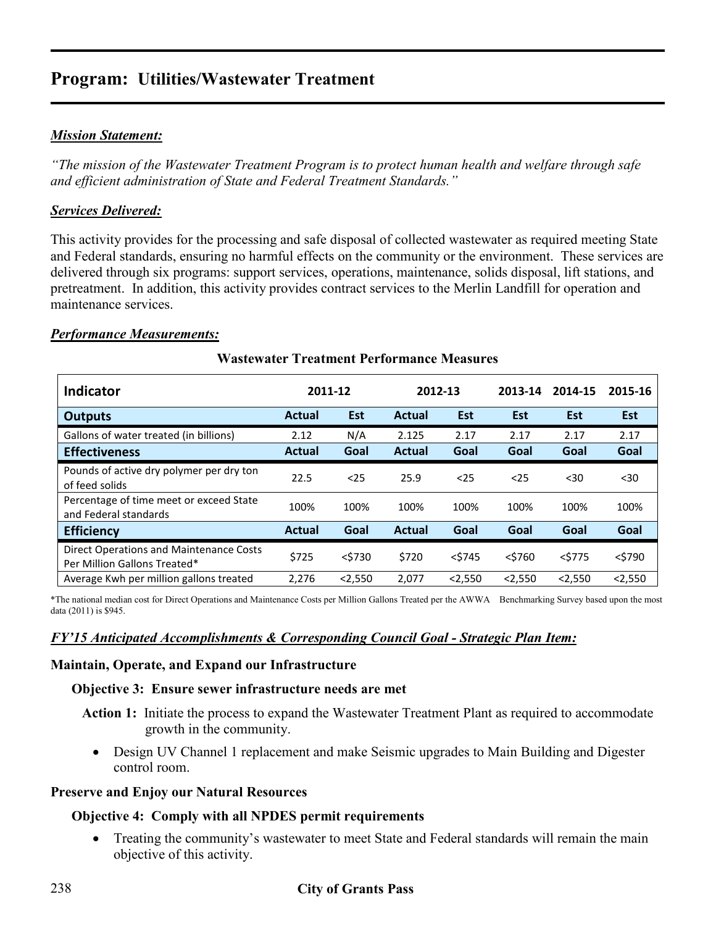## **Program: Utilities/Wastewater Treatment**

#### *Mission Statement:*

*"The mission of the Wastewater Treatment Program is to protect human health and welfare through safe and efficient administration of State and Federal Treatment Standards."* 

#### *Services Delivered:*

This activity provides for the processing and safe disposal of collected wastewater as required meeting State and Federal standards, ensuring no harmful effects on the community or the environment. These services are delivered through six programs: support services, operations, maintenance, solids disposal, lift stations, and pretreatment. In addition, this activity provides contract services to the Merlin Landfill for operation and maintenance services.

#### *Performance Measurements:*

| <b>Indicator</b>                                                        |               | 2011-12    | 2012-13 |            | 2013-14   | 2014-15    | 2015-16    |
|-------------------------------------------------------------------------|---------------|------------|---------|------------|-----------|------------|------------|
| <b>Outputs</b>                                                          | <b>Actual</b> | <b>Est</b> | Actual  | <b>Est</b> | Est       | <b>Est</b> | <b>Est</b> |
| Gallons of water treated (in billions)                                  | 2.12          | N/A        | 2.125   | 2.17       | 2.17      | 2.17       | 2.17       |
| <b>Effectiveness</b>                                                    | <b>Actual</b> | Goal       | Actual  | Goal       | Goal      | Goal       | Goal       |
| Pounds of active dry polymer per dry ton<br>of feed solids              | 22.5          | $25$       | 25.9    | $25$       | $25$      | $30$       | $30$       |
| Percentage of time meet or exceed State<br>and Federal standards        | 100%          | 100%       | 100%    | 100%       | 100%      | 100%       | 100%       |
| <b>Efficiency</b>                                                       | <b>Actual</b> | Goal       | Actual  | Goal       | Goal      | Goal       | Goal       |
| Direct Operations and Maintenance Costs<br>Per Million Gallons Treated* | \$725         | $<$ \$730  | \$720   | $<$ \$745  | $<$ \$760 | $<$ \$775  | $<$ \$790  |
| Average Kwh per million gallons treated                                 | 2.276         | < 2,550    | 2,077   | < 2,550    | 2.550     | < 2,550    | 2,550      |

#### **Wastewater Treatment Performance Measures**

\*The national median cost for Direct Operations and Maintenance Costs per Million Gallons Treated per the AWWA Benchmarking Survey based upon the most data (2011) is \$945.

#### *FY'15 Anticipated Accomplishments & Corresponding Council Goal - Strategic Plan Item:*

#### **Maintain, Operate, and Expand our Infrastructure**

#### **Objective 3: Ensure sewer infrastructure needs are met**

- **Action 1:** Initiate the process to expand the Wastewater Treatment Plant as required to accommodate growth in the community.
	- Design UV Channel 1 replacement and make Seismic upgrades to Main Building and Digester control room.

#### **Preserve and Enjoy our Natural Resources**

#### **Objective 4: Comply with all NPDES permit requirements**

• Treating the community's wastewater to meet State and Federal standards will remain the main objective of this activity.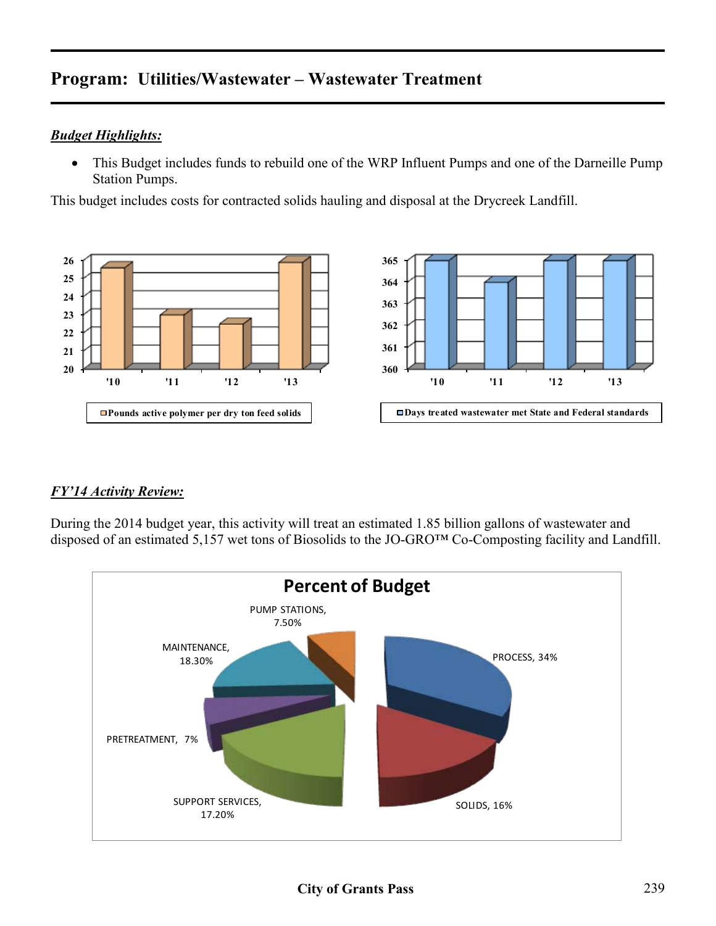# **Program: Utilities/Wastewater – Wastewater Treatment**

#### *Budget Highlights:*

• This Budget includes funds to rebuild one of the WRP Influent Pumps and one of the Darneille Pump Station Pumps.

This budget includes costs for contracted solids hauling and disposal at the Drycreek Landfill.



#### *FY'14 Activity Review:*

During the 2014 budget year, this activity will treat an estimated 1.85 billion gallons of wastewater and disposed of an estimated 5,157 wet tons of Biosolids to the JO-GRO™ Co-Composting facility and Landfill.

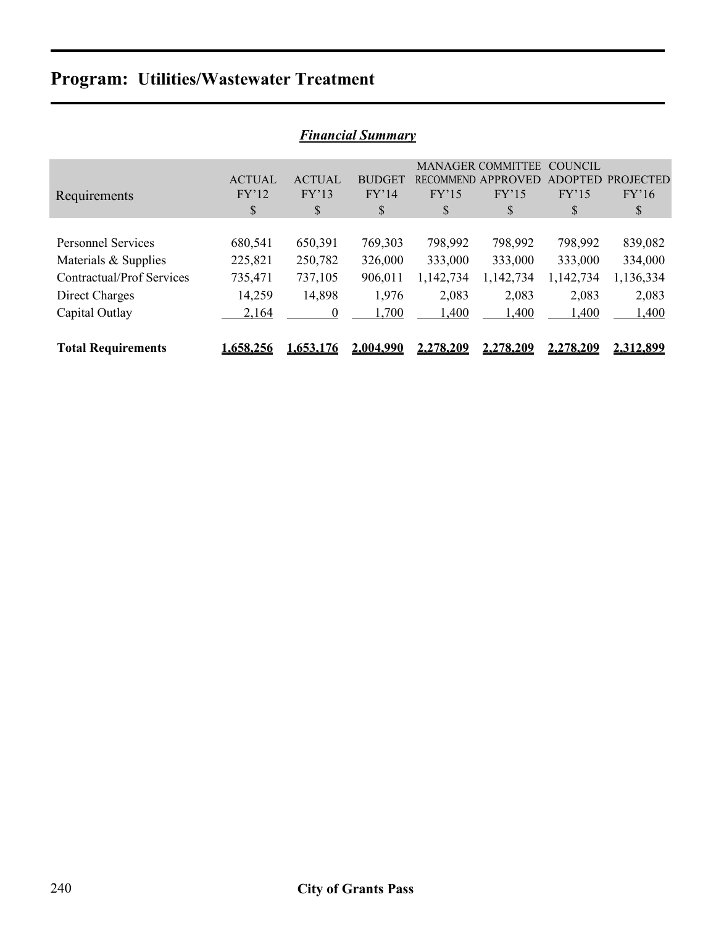# **Program: Utilities/Wastewater Treatment**

| <b>Financial Summary</b>         |               |                  |               |                  |                          |           |                  |  |  |  |
|----------------------------------|---------------|------------------|---------------|------------------|--------------------------|-----------|------------------|--|--|--|
|                                  |               |                  |               |                  | <b>MANAGER COMMITTEE</b> | COUNCIL   |                  |  |  |  |
|                                  | <b>ACTUAL</b> | <b>ACTUAL</b>    | <b>BUDGET</b> | <b>RECOMMEND</b> | APPROVED                 | ADOPTED   | <b>PROJECTED</b> |  |  |  |
| Requirements                     | FY'12         | FY'13            | FY'14         | FY'15            | FY'15                    | FY'15     | FY'16            |  |  |  |
|                                  | \$            | S                | <sup>S</sup>  | \$               | \$                       | S         | \$               |  |  |  |
|                                  |               |                  |               |                  |                          |           |                  |  |  |  |
| <b>Personnel Services</b>        | 680,541       | 650,391          | 769,303       | 798,992          | 798,992                  | 798,992   | 839,082          |  |  |  |
| Materials & Supplies             | 225,821       | 250,782          | 326,000       | 333,000          | 333,000                  | 333,000   | 334,000          |  |  |  |
| <b>Contractual/Prof Services</b> | 735,471       | 737,105          | 906,011       | 1,142,734        | 1,142,734                | 1,142,734 | 1,136,334        |  |  |  |
| Direct Charges                   | 14,259        | 14,898           | 1,976         | 2,083            | 2,083                    | 2,083     | 2,083            |  |  |  |
| Capital Outlay                   | 2,164         | $\boldsymbol{0}$ | 1,700         | 1,400            | 1,400                    | 1,400     | 1,400            |  |  |  |
|                                  |               |                  |               |                  |                          |           |                  |  |  |  |
| <b>Total Requirements</b>        | 1.658.256     | .653.176         | 2.004.990     | <u>2.278.209</u> | <u>2.278.209</u>         | 2.278.209 | 2.312.899        |  |  |  |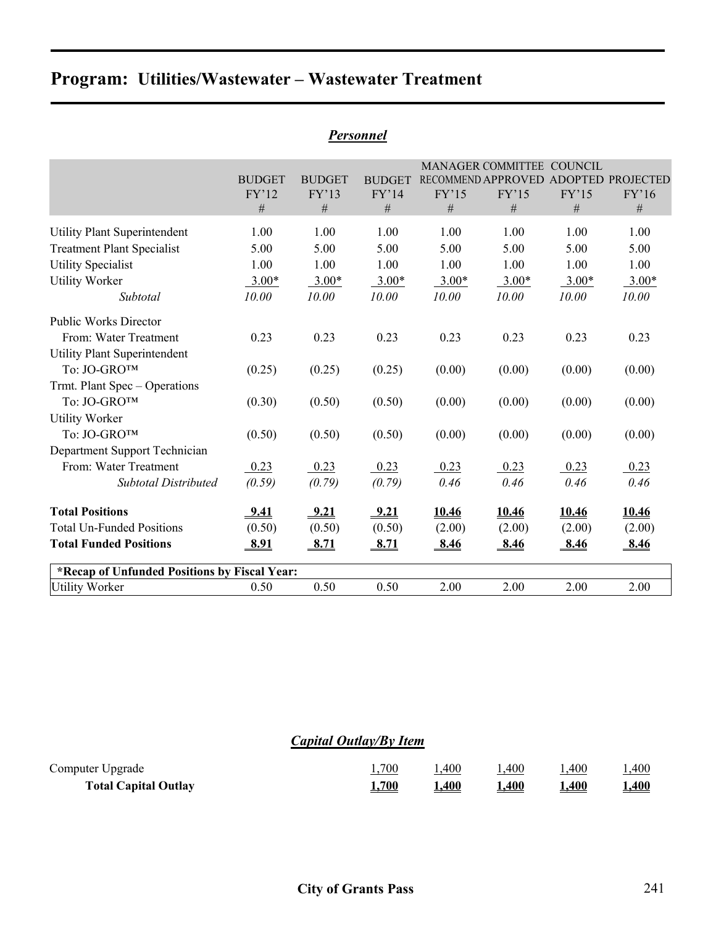# **Program: Utilities/Wastewater – Wastewater Treatment**

|                                              |               |               |               |            | <b>MANAGER COMMITTEE</b> | <b>COUNCIL</b> |                   |
|----------------------------------------------|---------------|---------------|---------------|------------|--------------------------|----------------|-------------------|
|                                              | <b>BUDGET</b> | <b>BUDGET</b> | <b>BUDGET</b> |            | RECOMMEND APPROVED       |                | ADOPTED PROJECTED |
|                                              | FY'12<br>#    | FY'13<br>#    | FY'14<br>#    | FY'15<br># | FY'15<br>#               | FY'15<br>#     | FY'16<br>#        |
|                                              |               |               |               |            |                          |                |                   |
| <b>Utility Plant Superintendent</b>          | 1.00          | 1.00          | 1.00          | 1.00       | 1.00                     | 1.00           | 1.00              |
| <b>Treatment Plant Specialist</b>            | 5.00          | 5.00          | 5.00          | 5.00       | 5.00                     | 5.00           | 5.00              |
| <b>Utility Specialist</b>                    | 1.00          | 1.00          | 1.00          | 1.00       | 1.00                     | 1.00           | 1.00              |
| <b>Utility Worker</b>                        | $3.00*$       | $3.00*$       | $3.00*$       | $3.00*$    | $3.00*$                  | $3.00*$        | $3.00*$           |
| Subtotal                                     | 10.00         | 10.00         | 10.00         | 10.00      | 10.00                    | 10.00          | 10.00             |
| <b>Public Works Director</b>                 |               |               |               |            |                          |                |                   |
| From: Water Treatment                        | 0.23          | 0.23          | 0.23          | 0.23       | 0.23                     | 0.23           | 0.23              |
| <b>Utility Plant Superintendent</b>          |               |               |               |            |                          |                |                   |
| To: JO-GROTM                                 | (0.25)        | (0.25)        | (0.25)        | (0.00)     | (0.00)                   | (0.00)         | (0.00)            |
| Trmt. Plant Spec - Operations                |               |               |               |            |                          |                |                   |
| To: JO-GROTM                                 | (0.30)        | (0.50)        | (0.50)        | (0.00)     | (0.00)                   | (0.00)         | (0.00)            |
| <b>Utility Worker</b>                        |               |               |               |            |                          |                |                   |
| To: JO-GRO™                                  | (0.50)        | (0.50)        | (0.50)        | (0.00)     | (0.00)                   | (0.00)         | (0.00)            |
| Department Support Technician                |               |               |               |            |                          |                |                   |
| From: Water Treatment                        | 0.23          | 0.23          | 0.23          | 0.23       | 0.23                     | 0.23           | 0.23              |
| <b>Subtotal Distributed</b>                  | (0.59)        | (0.79)        | (0.79)        | 0.46       | 0.46                     | 0.46           | 0.46              |
| <b>Total Positions</b>                       | 9.41          | 9.21          | 9.21          | 10.46      | 10.46                    | 10.46          | 10.46             |
| <b>Total Un-Funded Positions</b>             | (0.50)        | (0.50)        | (0.50)        | (2.00)     | (2.00)                   | (2.00)         | (2.00)            |
| <b>Total Funded Positions</b>                | <u>8.91</u>   | 8.71          | <u>8.71</u>   | 8.46       | <u>8.46</u>              | <u>8.46</u>    | 8.46              |
| *Recap of Unfunded Positions by Fiscal Year: |               |               |               |            |                          |                |                   |
| <b>Utility Worker</b>                        | 0.50          | 0.50          | 0.50          | 2.00       | 2.00                     | 2.00           | 2.00              |

#### *Personnel*

### *Capital Outlay/By Item*

| Computer Upgrade            | .,700        | .400  | .400 | ,400 | .400        |
|-----------------------------|--------------|-------|------|------|-------------|
| <b>Total Capital Outlay</b> | <u>4,700</u> | .,400 | .400 | .400 | <u>.400</u> |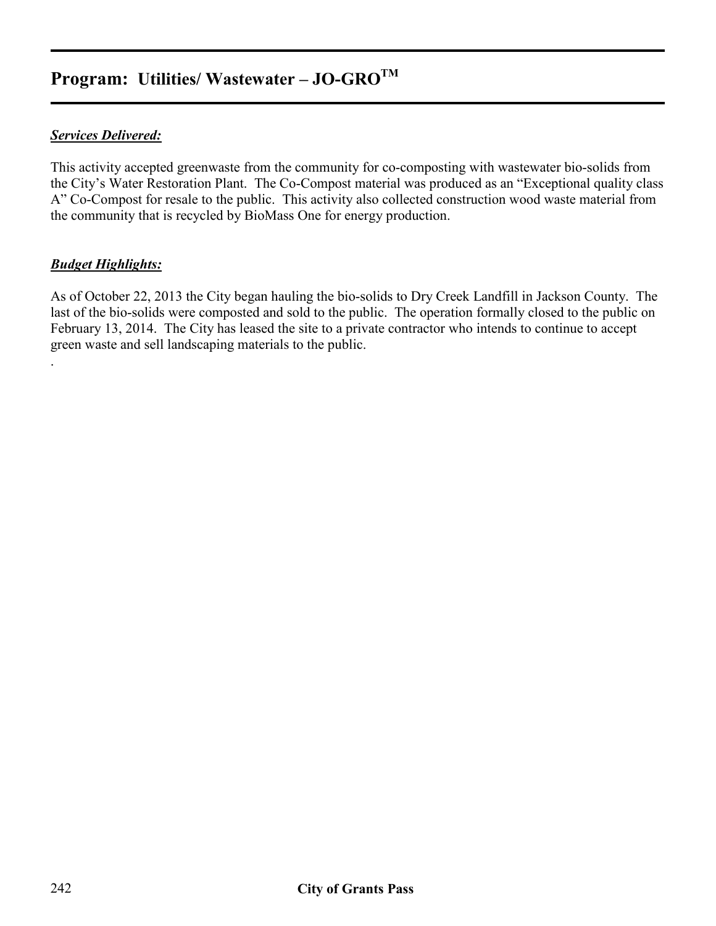# **Program: Utilities/ Wastewater – JO-GROTM**

#### *Services Delivered:*

This activity accepted greenwaste from the community for co-composting with wastewater bio-solids from the City's Water Restoration Plant. The Co-Compost material was produced as an "Exceptional quality class A" Co-Compost for resale to the public. This activity also collected construction wood waste material from the community that is recycled by BioMass One for energy production.

#### *Budget Highlights:*

.

As of October 22, 2013 the City began hauling the bio-solids to Dry Creek Landfill in Jackson County. The last of the bio-solids were composted and sold to the public. The operation formally closed to the public on February 13, 2014. The City has leased the site to a private contractor who intends to continue to accept green waste and sell landscaping materials to the public.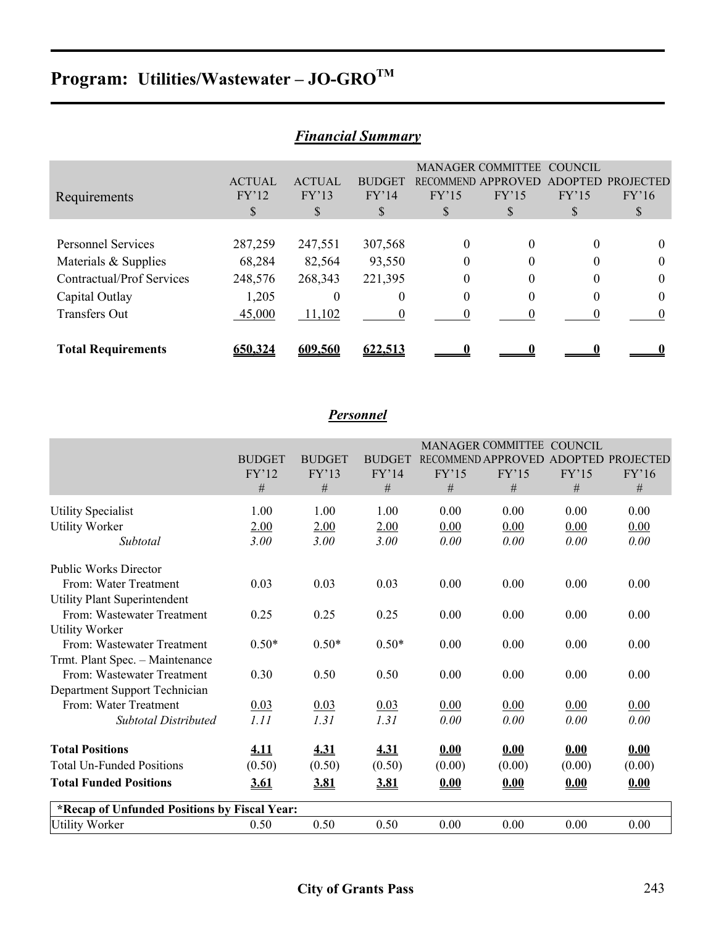# Program: Utilities/Wastewater - JO-GROTM

|                                  |               |               | т ишпсии эиттин |                  |                          |                |                  |
|----------------------------------|---------------|---------------|-----------------|------------------|--------------------------|----------------|------------------|
|                                  |               |               |                 |                  | <b>MANAGER COMMITTEE</b> | <b>COUNCIL</b> |                  |
|                                  | <b>ACTUAL</b> | <b>ACTUAL</b> | <b>BUDGET</b>   | <b>RECOMMEND</b> | APPROVED                 | <b>ADOPTED</b> | <b>PROJECTED</b> |
| Requirements                     | FY'12         | FY'13         | FY'14           | FY'15            | FY'15                    | FY'15          | FY'16            |
|                                  | S             | <sup>S</sup>  | S               | S                | \$                       |                | S                |
|                                  |               |               |                 |                  |                          |                |                  |
| <b>Personnel Services</b>        | 287,259       | 247,551       | 307,568         | 0                | 0                        | 0              |                  |
| Materials & Supplies             | 68,284        | 82,564        | 93,550          | $\theta$         | $^{(1)}$                 | 0              | $\theta$         |
| <b>Contractual/Prof Services</b> | 248,576       | 268,343       | 221,395         | $\theta$         |                          | 0              | 0                |
| Capital Outlay                   | 1,205         | 0             | 0               | $\theta$         |                          | 0              | $\theta$         |
| <b>Transfers Out</b>             | 45,000        | 11,102        |                 |                  |                          |                |                  |
|                                  |               |               |                 |                  |                          |                |                  |
| <b>Total Requirements</b>        | 560.324       | 609.560       | 622.513         |                  |                          |                |                  |

### *Financial Summary*

## *Personnel*

|                                              |               |               |               |        | MANAGER COMMITTEE COUNCIL            |        |        |
|----------------------------------------------|---------------|---------------|---------------|--------|--------------------------------------|--------|--------|
|                                              | <b>BUDGET</b> | <b>BUDGET</b> | <b>BUDGET</b> |        | RECOMMEND APPROVED ADOPTED PROJECTED |        |        |
|                                              | FY'12         | FY'13         | FY'14         | FY'15  | FY'15                                | FY'15  | FY'16  |
|                                              | #             | #             | #             | #      | #                                    | #      | #      |
| <b>Utility Specialist</b>                    | 1.00          | 1.00          | 1.00          | 0.00   | 0.00                                 | 0.00   | 0.00   |
| <b>Utility Worker</b>                        | 2.00          | 2.00          | 2.00          | 0.00   | 0.00                                 | 0.00   | 0.00   |
| Subtotal                                     | 3.00          | 3.00          | 3.00          | 0.00   | 0.00                                 | 0.00   | 0.00   |
| <b>Public Works Director</b>                 |               |               |               |        |                                      |        |        |
| From: Water Treatment                        | 0.03          | 0.03          | 0.03          | 0.00   | 0.00                                 | 0.00   | 0.00   |
| <b>Utility Plant Superintendent</b>          |               |               |               |        |                                      |        |        |
| From: Wastewater Treatment                   | 0.25          | 0.25          | 0.25          | 0.00   | 0.00                                 | 0.00   | 0.00   |
| <b>Utility Worker</b>                        |               |               |               |        |                                      |        |        |
| From: Wastewater Treatment                   | $0.50*$       | $0.50*$       | $0.50*$       | 0.00   | 0.00                                 | 0.00   | 0.00   |
| Trmt. Plant Spec. - Maintenance              |               |               |               |        |                                      |        |        |
| From: Wastewater Treatment                   | 0.30          | 0.50          | 0.50          | 0.00   | 0.00                                 | 0.00   | 0.00   |
| Department Support Technician                |               |               |               |        |                                      |        |        |
| From: Water Treatment                        | 0.03          | 0.03          | 0.03          | 0.00   | 0.00                                 | 0.00   | 0.00   |
| <b>Subtotal Distributed</b>                  | 1.11          | 1.31          | 1.31          | 0.00   | 0.00                                 | 0.00   | 0.00   |
| <b>Total Positions</b>                       | <u>4.11</u>   | 4.31          | 4.31          | 0.00   | 0.00                                 | 0.00   | 0.00   |
| <b>Total Un-Funded Positions</b>             | (0.50)        | (0.50)        | (0.50)        | (0.00) | (0.00)                               | (0.00) | (0.00) |
| <b>Total Funded Positions</b>                | <u>3.61</u>   | <u>3.81</u>   | <u>3.81</u>   | 0.00   | 0.00                                 | 0.00   | 0.00   |
| *Recap of Unfunded Positions by Fiscal Year: |               |               |               |        |                                      |        |        |
| <b>Utility Worker</b>                        | 0.50          | 0.50          | 0.50          | 0.00   | 0.00                                 | 0.00   | 0.00   |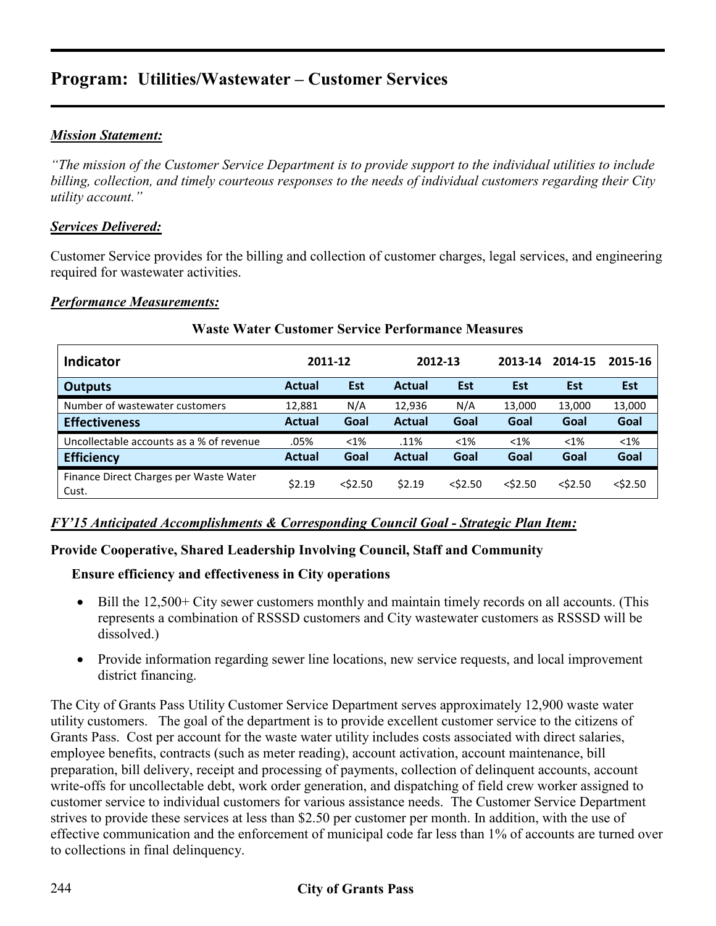# **Program: Utilities/Wastewater – Customer Services**

#### *Mission Statement:*

*"The mission of the Customer Service Department is to provide support to the individual utilities to include billing, collection, and timely courteous responses to the needs of individual customers regarding their City utility account."* 

#### *Services Delivered:*

Customer Service provides for the billing and collection of customer charges, legal services, and engineering required for wastewater activities.

#### *Performance Measurements:*

| <b>Indicator</b>                                |               | 2011-12    |               | 2012-13    | 2013-14    | 2014-15    | 2015-16    |
|-------------------------------------------------|---------------|------------|---------------|------------|------------|------------|------------|
| <b>Outputs</b>                                  | <b>Actual</b> | Est        | <b>Actual</b> | Est        | Est        | <b>Est</b> | <b>Est</b> |
| Number of wastewater customers                  | 12,881        | N/A        | 12,936        | N/A        | 13,000     | 13,000     | 13,000     |
| <b>Effectiveness</b>                            | <b>Actual</b> | Goal       | <b>Actual</b> | Goal       | Goal       | Goal       | Goal       |
| Uncollectable accounts as a % of revenue        | .05%          | $< 1\%$    | .11%          | $< 1\%$    | $< 1\%$    | $< 1\%$    | $< 1\%$    |
| <b>Efficiency</b>                               | <b>Actual</b> | Goal       | <b>Actual</b> | Goal       | Goal       | Goal       | Goal       |
| Finance Direct Charges per Waste Water<br>Cust. | \$2.19        | $<$ \$2.50 | \$2.19        | $<$ \$2.50 | $<$ \$2.50 | $<$ \$2.50 | $<$ \$2.50 |

#### **Waste Water Customer Service Performance Measures**

#### *FY'15 Anticipated Accomplishments & Corresponding Council Goal - Strategic Plan Item:*

#### **Provide Cooperative, Shared Leadership Involving Council, Staff and Community**

#### **Ensure efficiency and effectiveness in City operations**

- Bill the 12,500+ City sewer customers monthly and maintain timely records on all accounts. (This represents a combination of RSSSD customers and City wastewater customers as RSSSD will be dissolved.)
- Provide information regarding sewer line locations, new service requests, and local improvement district financing.

The City of Grants Pass Utility Customer Service Department serves approximately 12,900 waste water utility customers. The goal of the department is to provide excellent customer service to the citizens of Grants Pass. Cost per account for the waste water utility includes costs associated with direct salaries, employee benefits, contracts (such as meter reading), account activation, account maintenance, bill preparation, bill delivery, receipt and processing of payments, collection of delinquent accounts, account write-offs for uncollectable debt, work order generation, and dispatching of field crew worker assigned to customer service to individual customers for various assistance needs. The Customer Service Department strives to provide these services at less than \$2.50 per customer per month. In addition, with the use of effective communication and the enforcement of municipal code far less than 1% of accounts are turned over to collections in final delinquency.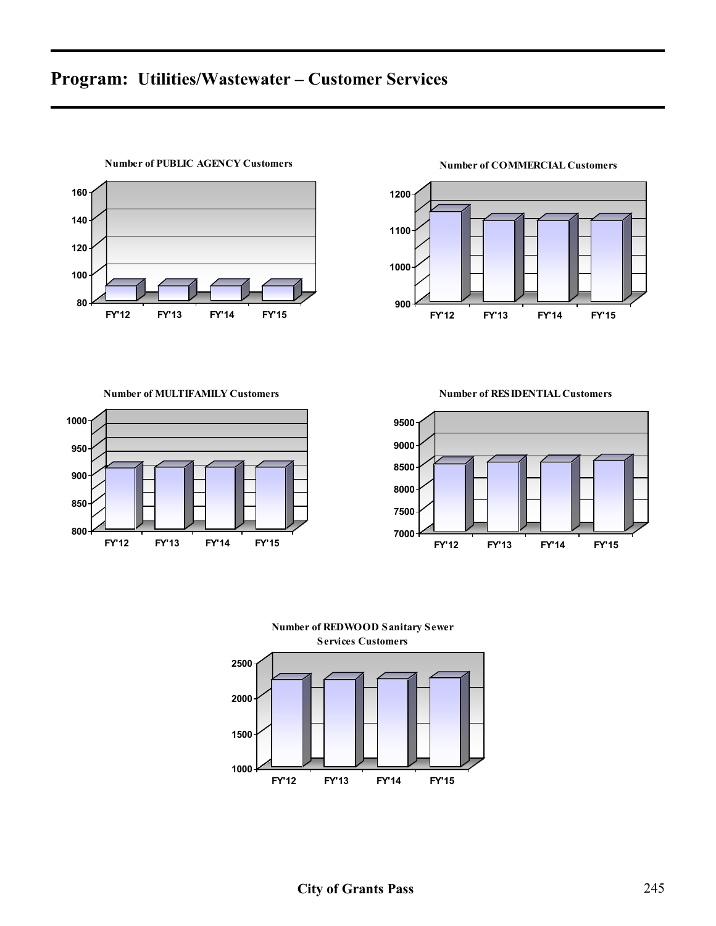# **Program: Utilities/Wastewater – Customer Services**



 **FY'12 FY'13 FY'14 FY'15 Number of COMMERCIAL Customers**

**Number of MULTIFAMILY Customers**



**Number of RESIDENTIAL Customers**



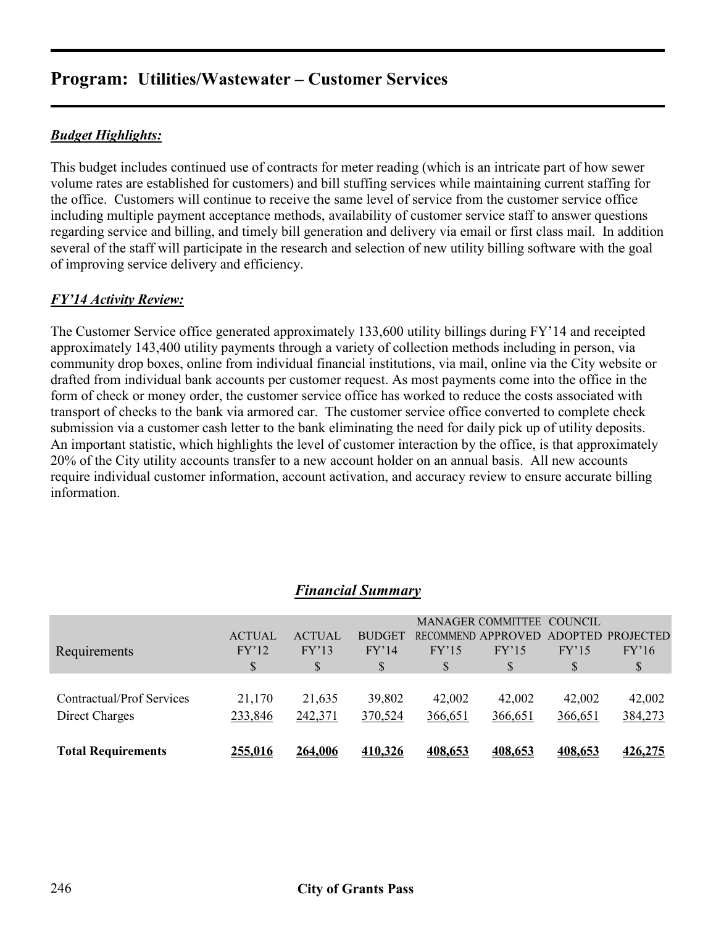# **Program: Utilities/Wastewater – Customer Services**

#### *Budget Highlights:*

This budget includes continued use of contracts for meter reading (which is an intricate part of how sewer volume rates are established for customers) and bill stuffing services while maintaining current staffing for the office. Customers will continue to receive the same level of service from the customer service office including multiple payment acceptance methods, availability of customer service staff to answer questions regarding service and billing, and timely bill generation and delivery via email or first class mail. In addition several of the staff will participate in the research and selection of new utility billing software with the goal of improving service delivery and efficiency.

#### *FY'14 Activity Review:*

The Customer Service office generated approximately 133,600 utility billings during FY'14 and receipted approximately 143,400 utility payments through a variety of collection methods including in person, via community drop boxes, online from individual financial institutions, via mail, online via the City website or drafted from individual bank accounts per customer request. As most payments come into the office in the form of check or money order, the customer service office has worked to reduce the costs associated with transport of checks to the bank via armored car. The customer service office converted to complete check submission via a customer cash letter to the bank eliminating the need for daily pick up of utility deposits. An important statistic, which highlights the level of customer interaction by the office, is that approximately 20% of the City utility accounts transfer to a new account holder on an annual basis. All new accounts require individual customer information, account activation, and accuracy review to ensure accurate billing information.

|                           |                |                | т ишпсии эиштиг ү |         |                           |         |                   |
|---------------------------|----------------|----------------|-------------------|---------|---------------------------|---------|-------------------|
|                           |                |                |                   |         | MANAGER COMMITTEE COUNCIL |         |                   |
|                           | <b>ACTUAL</b>  | <b>ACTUAL</b>  | <b>BUDGET</b>     |         | <b>RECOMMEND APPROVED</b> |         | ADOPTED PROJECTED |
| Requirements              | FY'12          | FY'13          | FY'14             | FY'15   | FY'15                     | FY'15   | FY'16             |
|                           | S              | \$             | \$                | \$      | S                         | S       | \$                |
|                           |                |                |                   |         |                           |         |                   |
| Contractual/Prof Services | 21,170         | 21,635         | 39,802            | 42,002  | 42,002                    | 42,002  | 42,002            |
| Direct Charges            | 233,846        | 242,371        | 370,524           | 366,651 | 366,651                   | 366,651 | 384,273           |
| <b>Total Requirements</b> | <u>255,016</u> | <u>264,006</u> | 410,326           | 408,653 | 408,653                   | 408,653 | <u>426,275</u>    |
|                           |                |                |                   |         |                           |         |                   |

### *Financial Summary*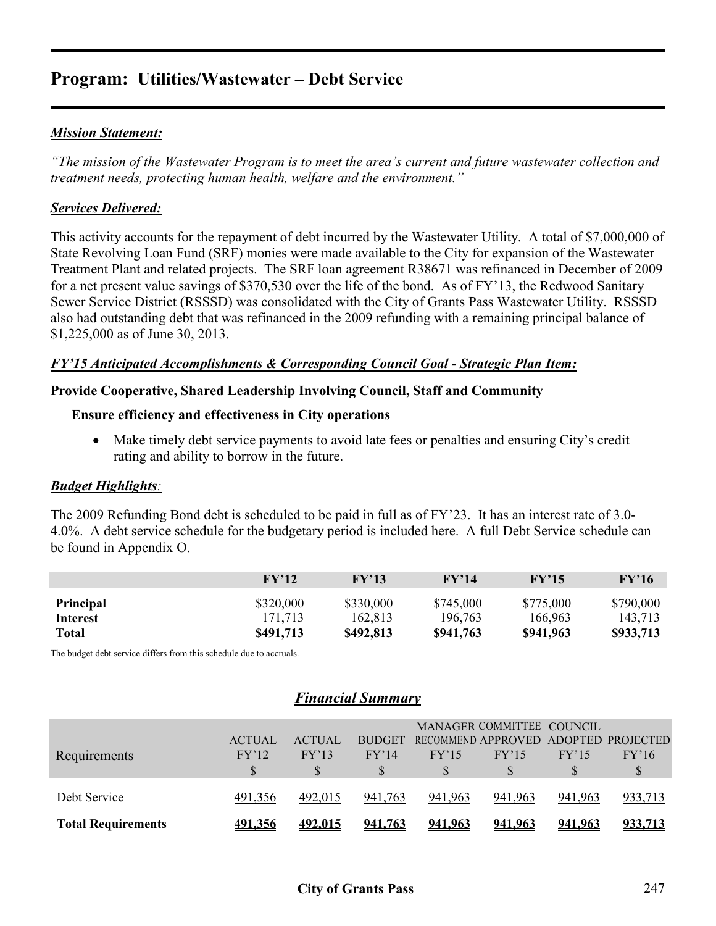# **Program: Utilities/Wastewater – Debt Service**

#### *Mission Statement:*

*"The mission of the Wastewater Program is to meet the area's current and future wastewater collection and treatment needs, protecting human health, welfare and the environment."* 

#### *Services Delivered:*

This activity accounts for the repayment of debt incurred by the Wastewater Utility. A total of \$7,000,000 of State Revolving Loan Fund (SRF) monies were made available to the City for expansion of the Wastewater Treatment Plant and related projects. The SRF loan agreement R38671 was refinanced in December of 2009 for a net present value savings of \$370,530 over the life of the bond. As of FY'13, the Redwood Sanitary Sewer Service District (RSSSD) was consolidated with the City of Grants Pass Wastewater Utility. RSSSD also had outstanding debt that was refinanced in the 2009 refunding with a remaining principal balance of \$1,225,000 as of June 30, 2013.

#### *FY'15 Anticipated Accomplishments & Corresponding Council Goal - Strategic Plan Item:*

#### **Provide Cooperative, Shared Leadership Involving Council, Staff and Community**

#### **Ensure efficiency and effectiveness in City operations**

• Make timely debt service payments to avoid late fees or penalties and ensuring City's credit rating and ability to borrow in the future.

#### *Budget Highlights:*

The 2009 Refunding Bond debt is scheduled to be paid in full as of FY'23. It has an interest rate of 3.0- 4.0%. A debt service schedule for the budgetary period is included here. A full Debt Service schedule can be found in Appendix O.

|                       | $\bf FV$ '12         | FY'13                | $\rm FV'14$          | FY'15                | FY'16                |
|-----------------------|----------------------|----------------------|----------------------|----------------------|----------------------|
| Principal<br>Interest | \$320,000<br>171,713 | \$330,000<br>162,813 | \$745,000<br>196,763 | \$775,000<br>166,963 | \$790,000<br>143,713 |
| <b>Total</b>          | \$491.713            | S <sub>492.813</sub> | \$941,763            | <u>\$941.963</u>     | <u>\$933.713</u>     |

The budget debt service differs from this schedule due to accruals.

#### *Financial Summary*

|                           | <b>ACTUAL</b>  | <b>ACTUAL</b>  | <b>BUDGET</b>  |         | MANAGER COMMITTEE COUNCIL |         | RECOMMEND APPROVED ADOPTED PROJECTED |
|---------------------------|----------------|----------------|----------------|---------|---------------------------|---------|--------------------------------------|
| Requirements              | FY'12          | FY'13          | FY'14          | FY'15   | FY'15                     | FY'15   | FY'16                                |
|                           |                |                |                |         |                           |         |                                      |
| Debt Service              | 491,356        | 492,015        | 941,763        | 941,963 | 941,963                   | 941,963 | 933,713                              |
| <b>Total Requirements</b> | <u>491.356</u> | <u>492.015</u> | <u>941.763</u> | 941.963 | <u>941.963</u>            | 941,963 | <u>933.713</u>                       |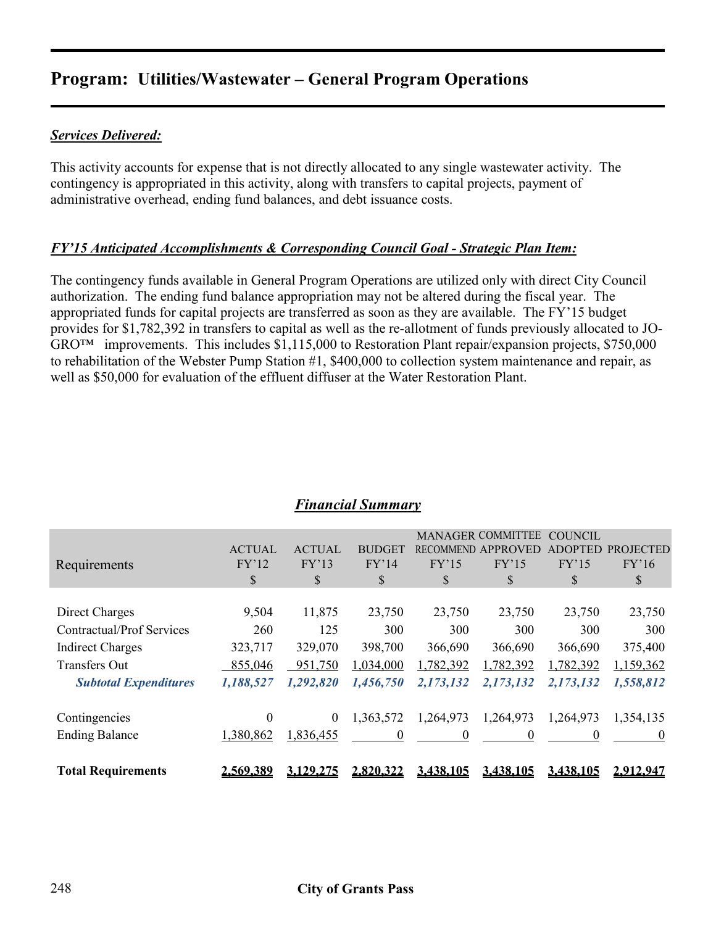# **Program: Utilities/Wastewater – General Program Operations**

#### *Services Delivered:*

This activity accounts for expense that is not directly allocated to any single wastewater activity. The contingency is appropriated in this activity, along with transfers to capital projects, payment of administrative overhead, ending fund balances, and debt issuance costs.

#### *FY'15 Anticipated Accomplishments & Corresponding Council Goal - Strategic Plan Item:*

The contingency funds available in General Program Operations are utilized only with direct City Council authorization. The ending fund balance appropriation may not be altered during the fiscal year. The appropriated funds for capital projects are transferred as soon as they are available. The FY'15 budget provides for \$1,782,392 in transfers to capital as well as the re-allotment of funds previously allocated to JO-GRO™ improvements. This includes \$1,115,000 to Restoration Plant repair/expansion projects, \$750,000 to rehabilitation of the Webster Pump Station #1, \$400,000 to collection system maintenance and repair, as well as \$50,000 for evaluation of the effluent diffuser at the Water Restoration Plant.

|                                  |               |               |               |                  | <b>MANAGER COMMITTEE</b> | <b>COUNCIL</b> |                  |
|----------------------------------|---------------|---------------|---------------|------------------|--------------------------|----------------|------------------|
|                                  | <b>ACTUAL</b> | <b>ACTUAL</b> | <b>BUDGET</b> | <b>RECOMMEND</b> | APPROVED                 | ADOPTED        | <b>PROJECTED</b> |
| Requirements                     | FY'12         | FY'13         | FY'14         | FY'15            | FY'15                    | FY'15          | FY'16            |
|                                  | \$            | \$            | S             | \$               | \$                       | \$             | \$               |
|                                  |               |               |               |                  |                          |                |                  |
| Direct Charges                   | 9,504         | 11,875        | 23,750        | 23,750           | 23,750                   | 23,750         | 23,750           |
| <b>Contractual/Prof Services</b> | 260           | 125           | 300           | 300              | 300                      | 300            | 300              |
| <b>Indirect Charges</b>          | 323,717       | 329,070       | 398,700       | 366,690          | 366,690                  | 366,690        | 375,400          |
| <b>Transfers Out</b>             | 855,046       | 951,750       | 1,034,000     | 1,782,392        | 1,782,392                | 1,782,392      | 1,159,362        |
| <b>Subtotal Expenditures</b>     | 1,188,527     | 1,292,820     | 1,456,750     | 2,173,132        | 2,173,132                | 2,173,132      | 1,558,812        |
|                                  |               |               |               |                  |                          |                |                  |
| Contingencies                    | 0             | $\theta$      | 1,363,572     | 1,264,973        | 1,264,973                | 1,264,973      | 1,354,135        |
| <b>Ending Balance</b>            | 1,380,862     | 1,836,455     | $\theta$      | $\theta$         |                          | $\theta$       | $\theta$         |
|                                  |               |               |               |                  |                          |                |                  |
| <b>Total Requirements</b>        | 2,569,389     | 3.129.275     | 2.820.322     | 3.438.105        | 3.438.105                | 3.438.105      | 2.912.947        |

#### *Financial Summary*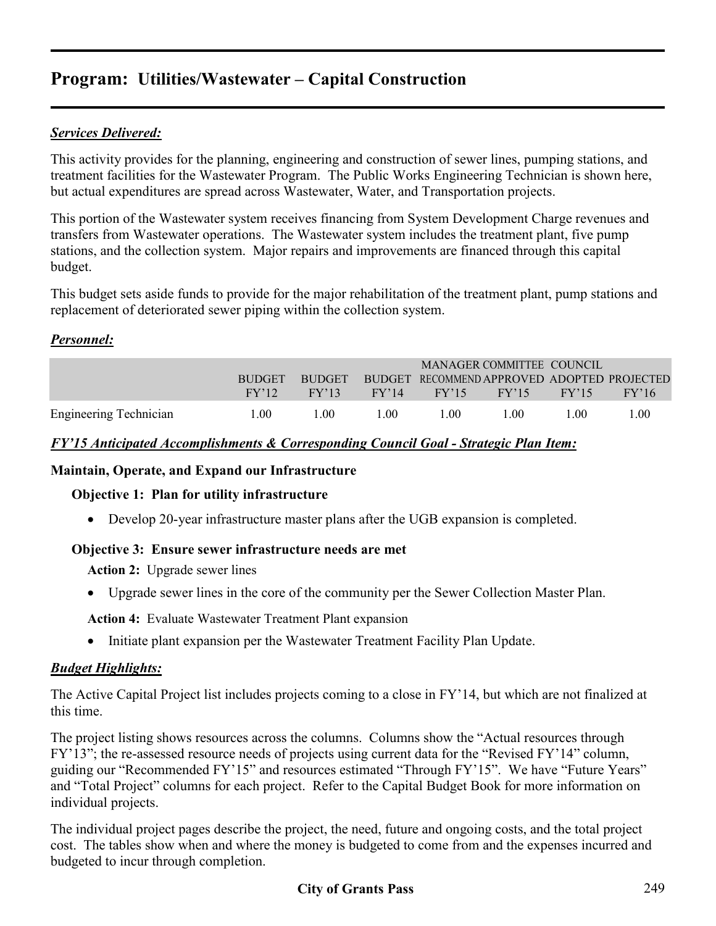# **Program: Utilities/Wastewater – Capital Construction**

#### *Services Delivered:*

This activity provides for the planning, engineering and construction of sewer lines, pumping stations, and treatment facilities for the Wastewater Program. The Public Works Engineering Technician is shown here, but actual expenditures are spread across Wastewater, Water, and Transportation projects.

This portion of the Wastewater system receives financing from System Development Charge revenues and transfers from Wastewater operations. The Wastewater system includes the treatment plant, five pump stations, and the collection system. Major repairs and improvements are financed through this capital budget.

This budget sets aside funds to provide for the major rehabilitation of the treatment plant, pump stations and replacement of deteriorated sewer piping within the collection system.

#### *Personnel:*

|                        |                  |               |       |       | MANAGER COMMITTEE COUNCIL                   |                  |                  |
|------------------------|------------------|---------------|-------|-------|---------------------------------------------|------------------|------------------|
|                        | <b>BUDGET</b>    | <b>BUDGET</b> |       |       | BUDGET RECOMMEND APPROVED ADOPTED PROJECTED |                  |                  |
|                        | $\rm FV'12$      | FY'13         | FY'14 |       | $FY'15$ $FY'15$                             | FY'15            | FY'16            |
| Engineering Technician | .00 <sub>1</sub> | -00           | 100   | L 00. | 1.00                                        | .00 <sub>1</sub> | .00 <sub>1</sub> |

#### *FY'15 Anticipated Accomplishments & Corresponding Council Goal - Strategic Plan Item:*

#### **Maintain, Operate, and Expand our Infrastructure**

#### **Objective 1: Plan for utility infrastructure**

• Develop 20-year infrastructure master plans after the UGB expansion is completed.

#### **Objective 3: Ensure sewer infrastructure needs are met**

**Action 2:** Upgrade sewer lines

• Upgrade sewer lines in the core of the community per the Sewer Collection Master Plan.

**Action 4:** Evaluate Wastewater Treatment Plant expansion

• Initiate plant expansion per the Wastewater Treatment Facility Plan Update.

#### *Budget Highlights:*

The Active Capital Project list includes projects coming to a close in FY'14, but which are not finalized at this time.

The project listing shows resources across the columns. Columns show the "Actual resources through FY'13"; the re-assessed resource needs of projects using current data for the "Revised FY'14" column, guiding our "Recommended FY'15" and resources estimated "Through FY'15". We have "Future Years" and "Total Project" columns for each project. Refer to the Capital Budget Book for more information on individual projects.

The individual project pages describe the project, the need, future and ongoing costs, and the total project cost. The tables show when and where the money is budgeted to come from and the expenses incurred and budgeted to incur through completion.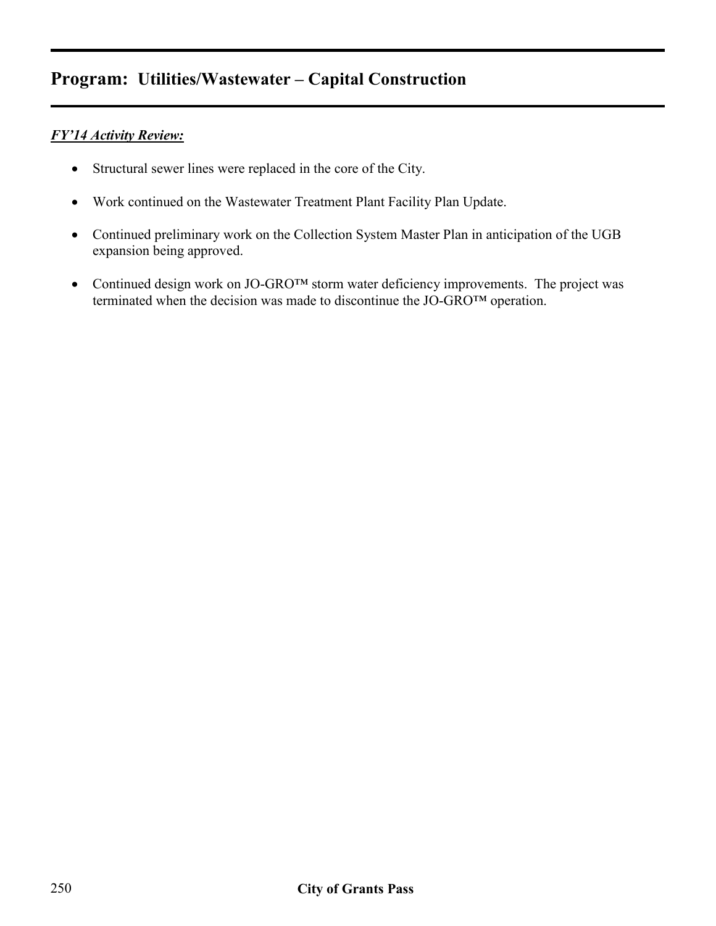# **Program: Utilities/Wastewater – Capital Construction**

#### *FY'14 Activity Review:*

- Structural sewer lines were replaced in the core of the City.
- Work continued on the Wastewater Treatment Plant Facility Plan Update.
- Continued preliminary work on the Collection System Master Plan in anticipation of the UGB expansion being approved.
- Continued design work on JO-GRO<sup>TM</sup> storm water deficiency improvements. The project was terminated when the decision was made to discontinue the JO-GRO™ operation.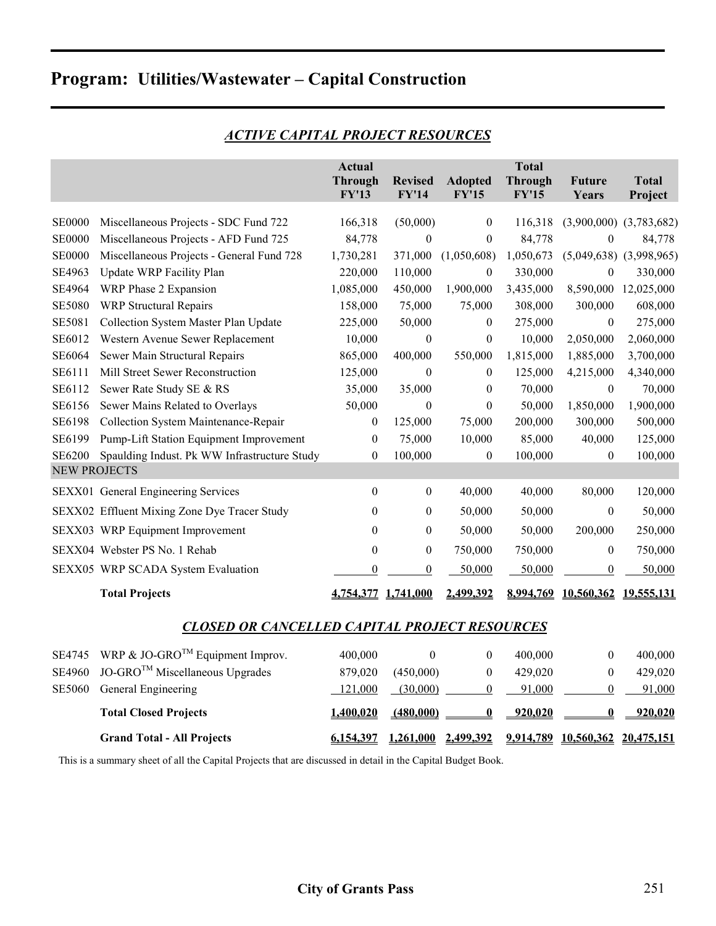# **Program: Utilities/Wastewater – Capital Construction**

|                     |                                                      | <b>Actual</b><br><b>Through</b><br><b>FY'13</b> | <b>Revised</b><br><b>FY'14</b> | <b>Adopted</b><br><b>FY'15</b> | <b>Total</b><br><b>Through</b><br><b>FY'15</b> | <b>Future</b><br>Years          | <b>Total</b><br>Project     |
|---------------------|------------------------------------------------------|-------------------------------------------------|--------------------------------|--------------------------------|------------------------------------------------|---------------------------------|-----------------------------|
| <b>SE0000</b>       | Miscellaneous Projects - SDC Fund 722                | 166,318                                         | (50,000)                       | $\boldsymbol{0}$               | 116,318                                        | (3,900,000)                     | (3,783,682)                 |
| <b>SE0000</b>       | Miscellaneous Projects - AFD Fund 725                | 84,778                                          | $\mathbf{0}$                   | $\boldsymbol{0}$               | 84,778                                         | $\mathbf{0}$                    | 84,778                      |
| <b>SE0000</b>       | Miscellaneous Projects - General Fund 728            | 1,730,281                                       | 371,000                        | (1,050,608)                    | 1,050,673                                      |                                 | $(5,049,638)$ $(3,998,965)$ |
| SE4963              | Update WRP Facility Plan                             | 220,000                                         | 110,000                        | $\boldsymbol{0}$               | 330,000                                        | $\mathbf{0}$                    | 330,000                     |
| SE4964              | WRP Phase 2 Expansion                                | 1,085,000                                       | 450,000                        | 1,900,000                      | 3,435,000                                      | 8,590,000                       | 12,025,000                  |
| <b>SE5080</b>       | <b>WRP</b> Structural Repairs                        | 158,000                                         | 75,000                         | 75,000                         | 308,000                                        | 300,000                         | 608,000                     |
| SE5081              | Collection System Master Plan Update                 | 225,000                                         | 50,000                         | $\boldsymbol{0}$               | 275,000                                        | $\theta$                        | 275,000                     |
| SE6012              | Western Avenue Sewer Replacement                     | 10,000                                          | $\boldsymbol{0}$               | $\boldsymbol{0}$               | 10,000                                         | 2,050,000                       | 2,060,000                   |
| SE6064              | Sewer Main Structural Repairs                        | 865,000                                         | 400,000                        | 550,000                        | 1,815,000                                      | 1,885,000                       | 3,700,000                   |
| SE6111              | Mill Street Sewer Reconstruction                     | 125,000                                         | $\mathbf{0}$                   | $\boldsymbol{0}$               | 125,000                                        | 4,215,000                       | 4,340,000                   |
| SE6112              | Sewer Rate Study SE & RS                             | 35,000                                          | 35,000                         | $\theta$                       | 70,000                                         | $\boldsymbol{0}$                | 70,000                      |
| SE6156              | Sewer Mains Related to Overlays                      | 50,000                                          | $\boldsymbol{0}$               | $\theta$                       | 50,000                                         | 1,850,000                       | 1,900,000                   |
| SE6198              | Collection System Maintenance-Repair                 | $\boldsymbol{0}$                                | 125,000                        | 75,000                         | 200,000                                        | 300,000                         | 500,000                     |
| SE6199              | Pump-Lift Station Equipment Improvement              | $\boldsymbol{0}$                                | 75,000                         | 10,000                         | 85,000                                         | 40,000                          | 125,000                     |
| SE6200              | Spaulding Indust. Pk WW Infrastructure Study         | $\boldsymbol{0}$                                | 100,000                        | $\boldsymbol{0}$               | 100,000                                        | $\boldsymbol{0}$                | 100,000                     |
| <b>NEW PROJECTS</b> |                                                      |                                                 |                                |                                |                                                |                                 |                             |
|                     | SEXX01 General Engineering Services                  | $\boldsymbol{0}$                                | $\boldsymbol{0}$               | 40,000                         | 40,000                                         | 80,000                          | 120,000                     |
|                     | SEXX02 Effluent Mixing Zone Dye Tracer Study         | 0                                               | $\mathbf{0}$                   | 50,000                         | 50,000                                         | $\boldsymbol{0}$                | 50,000                      |
|                     | SEXX03 WRP Equipment Improvement                     | $\theta$                                        | $\boldsymbol{0}$               | 50,000                         | 50,000                                         | 200,000                         | 250,000                     |
|                     | SEXX04 Webster PS No. 1 Rehab                        | $\boldsymbol{0}$                                | $\boldsymbol{0}$               | 750,000                        | 750,000                                        | $\boldsymbol{0}$                | 750,000                     |
|                     | SEXX05 WRP SCADA System Evaluation                   | $\boldsymbol{0}$                                | $\boldsymbol{0}$               | 50,000                         | 50,000                                         | $\boldsymbol{0}$                | 50,000                      |
|                     | <b>Total Projects</b>                                |                                                 | 4,754,377 1,741,000            | 2,499,392                      |                                                | 8,994,769 10,560,362 19,555,131 |                             |
|                     | <b>CLOSED OR CANCELLED CAPITAL PROJECT RESOURCES</b> |                                                 |                                |                                |                                                |                                 |                             |
| SE4745              | WRP & JO-GRO <sup>TM</sup> Equipment Improv.         | 400,000                                         | $\boldsymbol{0}$               | $\boldsymbol{0}$               | 400,000                                        | $\mathbf{0}$                    | 400,000                     |
| SE4960              | JO-GRO <sup>™</sup> Miscellaneous Upgrades           | 879,020                                         | (450,000)                      | $\boldsymbol{0}$               | 429,020                                        | $\boldsymbol{0}$                | 429,020                     |
| <b>SE5060</b>       | General Engineering                                  | 121,000                                         | (30,000)                       | $\boldsymbol{0}$               | 91,000                                         | $\boldsymbol{0}$                | 91,000                      |
|                     | <b>Total Closed Projects</b>                         | 1,400,020                                       | (480,000)                      | $\bf{0}$                       | 920,020                                        | $\bf{0}$                        | 920,020                     |
|                     | <b>Grand Total - All Projects</b>                    | 6,154,397                                       | 1,261,000                      | 2,499,392                      |                                                | 9,914,789 10,560,362 20,475,151 |                             |

#### *ACTIVE CAPITAL PROJECT RESOURCES*

This is a summary sheet of all the Capital Projects that are discussed in detail in the Capital Budget Book.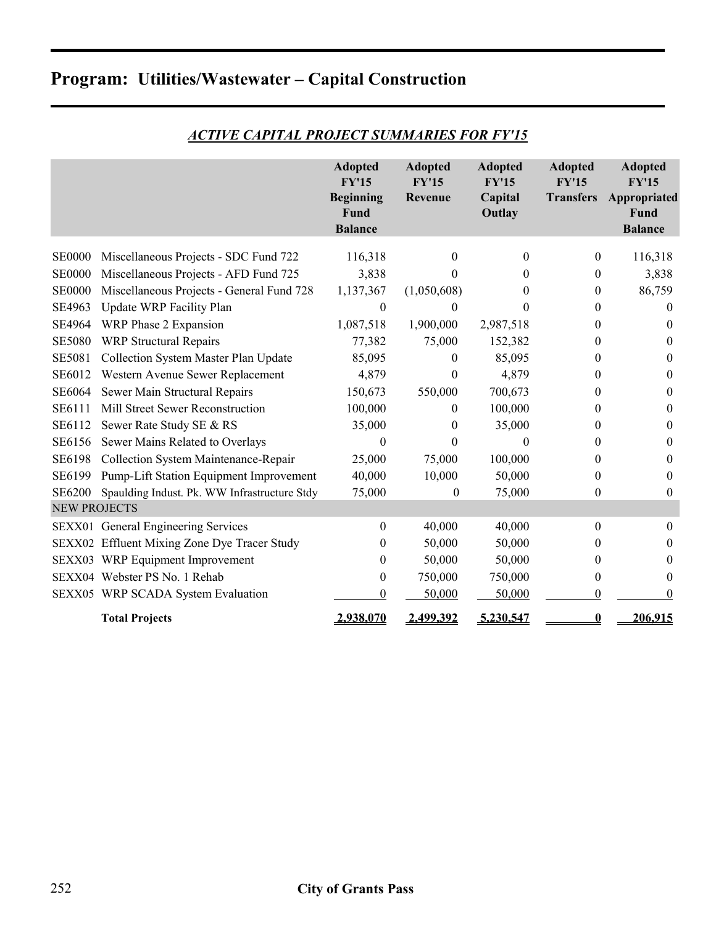|  | <b>Program: Utilities/Wastewater - Capital Construction</b> |  |  |
|--|-------------------------------------------------------------|--|--|
|--|-------------------------------------------------------------|--|--|

|                     |                                              | <b>Adopted</b><br><b>FY'15</b><br><b>Beginning</b><br>Fund<br><b>Balance</b> | <b>Adopted</b><br><b>FY'15</b><br>Revenue | <b>Adopted</b><br>FY'15<br>Capital<br>Outlay | <b>Adopted</b><br>FY'15<br><b>Transfers</b> | <b>Adopted</b><br>FY'15<br>Appropriated<br>Fund<br><b>Balance</b> |
|---------------------|----------------------------------------------|------------------------------------------------------------------------------|-------------------------------------------|----------------------------------------------|---------------------------------------------|-------------------------------------------------------------------|
| <b>SE0000</b>       | Miscellaneous Projects - SDC Fund 722        | 116,318                                                                      | 0                                         | 0                                            | $\theta$                                    | 116,318                                                           |
| <b>SE0000</b>       | Miscellaneous Projects - AFD Fund 725        | 3,838                                                                        | 0                                         |                                              | $\theta$                                    | 3,838                                                             |
| <b>SE0000</b>       | Miscellaneous Projects - General Fund 728    | 1,137,367                                                                    | (1,050,608)                               | 0                                            | $\theta$                                    | 86,759                                                            |
| SE4963              | <b>Update WRP Facility Plan</b>              | $\theta$                                                                     | 0                                         | 0                                            | 0                                           | $\Omega$                                                          |
| SE4964              | WRP Phase 2 Expansion                        | 1,087,518                                                                    | 1,900,000                                 | 2,987,518                                    | 0                                           | $\theta$                                                          |
| <b>SE5080</b>       | <b>WRP Structural Repairs</b>                | 77,382                                                                       | 75,000                                    | 152,382                                      | $\theta$                                    | $\theta$                                                          |
| <b>SE5081</b>       | Collection System Master Plan Update         | 85,095                                                                       | 0                                         | 85,095                                       | $\theta$                                    | $\theta$                                                          |
| SE6012              | Western Avenue Sewer Replacement             | 4,879                                                                        | 0                                         | 4,879                                        | 0                                           | $\theta$                                                          |
| SE6064              | Sewer Main Structural Repairs                | 150,673                                                                      | 550,000                                   | 700,673                                      | $\theta$                                    | $\theta$                                                          |
| SE6111              | Mill Street Sewer Reconstruction             | 100,000                                                                      | 0                                         | 100,000                                      | 0                                           | $\theta$                                                          |
| SE6112              |                                              |                                                                              |                                           | 35,000                                       |                                             | $\theta$                                                          |
|                     | Sewer Rate Study SE & RS                     | 35,000                                                                       | 0                                         | $\mathbf{0}$                                 | 0                                           |                                                                   |
| SE6156              | Sewer Mains Related to Overlays              | 0                                                                            | 0                                         |                                              | 0                                           | $\theta$                                                          |
| SE6198              | Collection System Maintenance-Repair         | 25,000                                                                       | 75,000                                    | 100,000                                      | 0                                           | $\theta$                                                          |
| SE6199              | Pump-Lift Station Equipment Improvement      | 40,000                                                                       | 10,000                                    | 50,000                                       | 0                                           | $\theta$                                                          |
| <b>SE6200</b>       | Spaulding Indust. Pk. WW Infrastructure Stdy | 75,000                                                                       | $\boldsymbol{0}$                          | 75,000                                       | 0                                           | $\theta$                                                          |
| <b>NEW PROJECTS</b> |                                              |                                                                              |                                           |                                              |                                             |                                                                   |
|                     | SEXX01 General Engineering Services          | 0                                                                            | 40,000                                    | 40,000                                       | $\theta$                                    | $\theta$                                                          |
|                     | SEXX02 Effluent Mixing Zone Dye Tracer Study | 0                                                                            | 50,000                                    | 50,000                                       | $\theta$                                    | $\theta$                                                          |
|                     | SEXX03 WRP Equipment Improvement             | 0                                                                            | 50,000                                    | 50,000                                       | 0                                           | $\theta$                                                          |
|                     | SEXX04 Webster PS No. 1 Rehab                | $\boldsymbol{0}$                                                             | 750,000                                   | 750,000                                      | $\theta$                                    | $\theta$                                                          |
|                     | SEXX05 WRP SCADA System Evaluation           | 0                                                                            | 50,000                                    | 50,000                                       | $\theta$                                    | $\Omega$                                                          |
|                     | <b>Total Projects</b>                        | 2,938,070                                                                    | 2,499,392                                 | 5,230,547                                    | 0                                           | 206,915                                                           |

#### *ACTIVE CAPITAL PROJECT SUMMARIES FOR FY'15*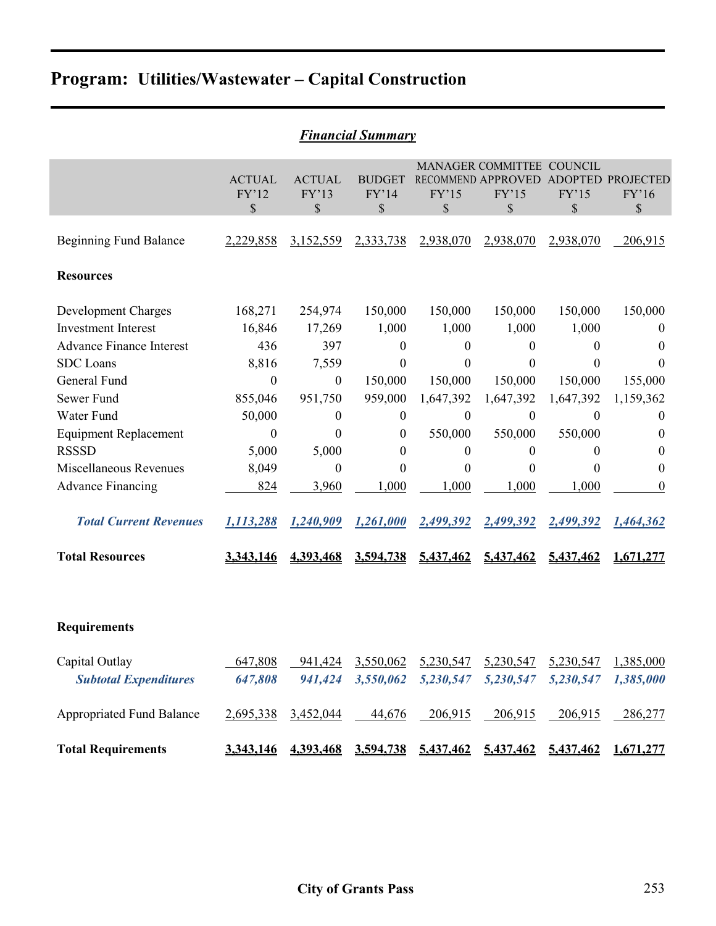|  | <b>Program: Utilities/Wastewater - Capital Construction</b> |  |  |
|--|-------------------------------------------------------------|--|--|
|--|-------------------------------------------------------------|--|--|

| <b>Financial Summary</b>                                                                                                                                                                                                                                                                           |                                                                                                                                      |                                                                                                                                                           |                                                                                                                                                                                      |                                                                                                                 |                                                                                                                                                 |                                                                                                                                               |                                                                                                                                                      |
|----------------------------------------------------------------------------------------------------------------------------------------------------------------------------------------------------------------------------------------------------------------------------------------------------|--------------------------------------------------------------------------------------------------------------------------------------|-----------------------------------------------------------------------------------------------------------------------------------------------------------|--------------------------------------------------------------------------------------------------------------------------------------------------------------------------------------|-----------------------------------------------------------------------------------------------------------------|-------------------------------------------------------------------------------------------------------------------------------------------------|-----------------------------------------------------------------------------------------------------------------------------------------------|------------------------------------------------------------------------------------------------------------------------------------------------------|
|                                                                                                                                                                                                                                                                                                    | <b>ACTUAL</b><br>FY'12<br>\$                                                                                                         | <b>ACTUAL</b><br>FY'13<br>\$                                                                                                                              | <b>BUDGET</b><br>FY'14<br>\$                                                                                                                                                         | FY'15<br>\$                                                                                                     | MANAGER COMMITTEE COUNCIL<br><b>RECOMMEND APPROVED</b><br>FY'15<br>\$                                                                           | FY'15<br>\$                                                                                                                                   | ADOPTED PROJECTED<br>FY'16<br>\$                                                                                                                     |
| <b>Beginning Fund Balance</b>                                                                                                                                                                                                                                                                      | 2,229,858                                                                                                                            | 3,152,559                                                                                                                                                 | 2,333,738                                                                                                                                                                            | 2,938,070                                                                                                       | 2,938,070                                                                                                                                       | 2,938,070                                                                                                                                     | 206,915                                                                                                                                              |
| <b>Resources</b>                                                                                                                                                                                                                                                                                   |                                                                                                                                      |                                                                                                                                                           |                                                                                                                                                                                      |                                                                                                                 |                                                                                                                                                 |                                                                                                                                               |                                                                                                                                                      |
| Development Charges<br><b>Investment Interest</b><br><b>Advance Finance Interest</b><br><b>SDC</b> Loans<br>General Fund<br>Sewer Fund<br>Water Fund<br><b>Equipment Replacement</b><br><b>RSSSD</b><br><b>Miscellaneous Revenues</b><br><b>Advance Financing</b><br><b>Total Current Revenues</b> | 168,271<br>16,846<br>436<br>8,816<br>$\boldsymbol{0}$<br>855,046<br>50,000<br>$\boldsymbol{0}$<br>5,000<br>8,049<br>824<br>1,113,288 | 254,974<br>17,269<br>397<br>7,559<br>$\boldsymbol{0}$<br>951,750<br>$\boldsymbol{0}$<br>$\overline{0}$<br>5,000<br>$\boldsymbol{0}$<br>3,960<br>1,240,909 | 150,000<br>1,000<br>$\boldsymbol{0}$<br>$\boldsymbol{0}$<br>150,000<br>959,000<br>$\boldsymbol{0}$<br>$\boldsymbol{0}$<br>$\boldsymbol{0}$<br>$\boldsymbol{0}$<br>1,000<br>1,261,000 | 150,000<br>1,000<br>0<br>0<br>150,000<br>1,647,392<br>$\overline{0}$<br>550,000<br>0<br>0<br>1,000<br>2,499,392 | 150,000<br>1,000<br>$\boldsymbol{0}$<br>0<br>150,000<br>1,647,392<br>$\boldsymbol{0}$<br>550,000<br>$\boldsymbol{0}$<br>0<br>1,000<br>2,499,392 | 150,000<br>1,000<br>$\theta$<br>$\theta$<br>150,000<br>1,647,392<br>$\Omega$<br>550,000<br>$\boldsymbol{0}$<br>$\theta$<br>1,000<br>2,499,392 | 150,000<br>$\boldsymbol{0}$<br>$\theta$<br>$\theta$<br>155,000<br>1,159,362<br>$\theta$<br>$\theta$<br>$\theta$<br>$\theta$<br>$\theta$<br>1,464,362 |
| <b>Total Resources</b>                                                                                                                                                                                                                                                                             | 3,343,146                                                                                                                            | 4.393,468                                                                                                                                                 | 3,594,738                                                                                                                                                                            | 5,437,462                                                                                                       | 5,437,462                                                                                                                                       | 5,437,462                                                                                                                                     | 1,671,277                                                                                                                                            |
| <b>Requirements</b>                                                                                                                                                                                                                                                                                |                                                                                                                                      |                                                                                                                                                           |                                                                                                                                                                                      |                                                                                                                 |                                                                                                                                                 |                                                                                                                                               |                                                                                                                                                      |
| Capital Outlay<br><b>Subtotal Expenditures</b>                                                                                                                                                                                                                                                     | 647,808<br>647,808                                                                                                                   | 941,424<br>941,424                                                                                                                                        | 3,550,062<br>3,550,062                                                                                                                                                               | 5,230,547<br>5,230,547                                                                                          | 5,230,547<br>5,230,547                                                                                                                          | 5,230,547<br>5,230,547                                                                                                                        | 1,385,000<br>1,385,000                                                                                                                               |
| <b>Appropriated Fund Balance</b>                                                                                                                                                                                                                                                                   | 2,695,338                                                                                                                            | 3,452,044                                                                                                                                                 | 44,676                                                                                                                                                                               | 206,915                                                                                                         | 206,915                                                                                                                                         | 206,915                                                                                                                                       | 286,277                                                                                                                                              |
| <b>Total Requirements</b>                                                                                                                                                                                                                                                                          | 3,343,146                                                                                                                            |                                                                                                                                                           |                                                                                                                                                                                      |                                                                                                                 | 4,393,468 3,594,738 5,437,462 5,437,462 5,437,462                                                                                               |                                                                                                                                               | 1,671,277                                                                                                                                            |